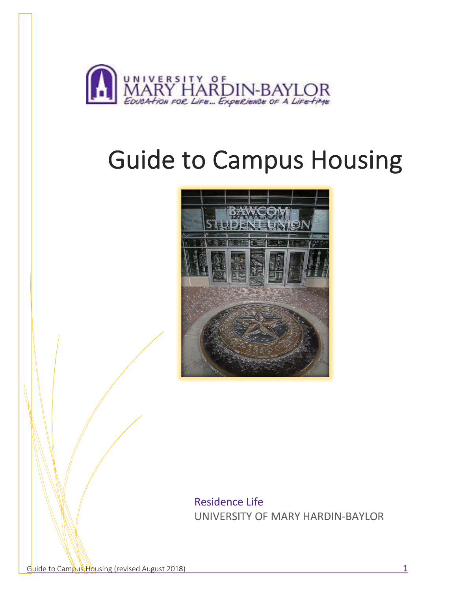

# Guide to Campus Housing



Residence Life UNIVERSITY OF MARY HARDIN-BAYLOR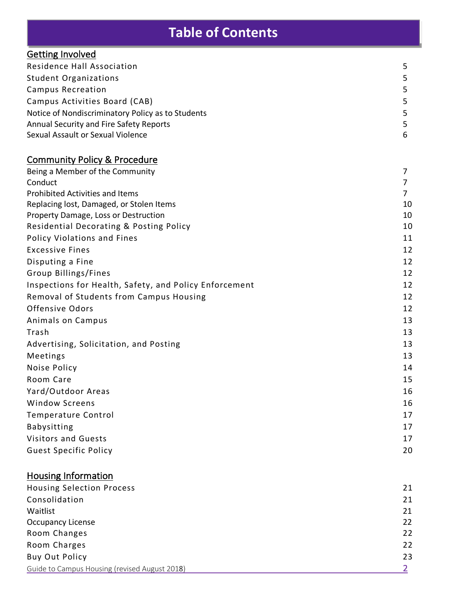# **Table of Contents**

| <b>Getting Involved</b>                                |                |
|--------------------------------------------------------|----------------|
| Residence Hall Association                             | 5              |
| <b>Student Organizations</b>                           | 5              |
| <b>Campus Recreation</b>                               | 5              |
| Campus Activities Board (CAB)                          | 5              |
| Notice of Nondiscriminatory Policy as to Students      | 5              |
| Annual Security and Fire Safety Reports                | 5              |
| Sexual Assault or Sexual Violence                      | 6              |
|                                                        |                |
| <b>Community Policy &amp; Procedure</b>                |                |
| Being a Member of the Community                        | 7              |
| Conduct                                                | 7              |
| <b>Prohibited Activities and Items</b>                 | 7              |
| Replacing lost, Damaged, or Stolen Items               | 10             |
| Property Damage, Loss or Destruction                   | 10<br>10       |
| Residential Decorating & Posting Policy                |                |
| Policy Violations and Fines                            | 11             |
| <b>Excessive Fines</b>                                 | 12             |
| Disputing a Fine                                       | 12             |
| Group Billings/Fines                                   | 12             |
| Inspections for Health, Safety, and Policy Enforcement | 12             |
| Removal of Students from Campus Housing                | 12             |
| Offensive Odors                                        | 12             |
| Animals on Campus                                      | 13             |
| Trash                                                  | 13             |
| Advertising, Solicitation, and Posting                 | 13             |
| Meetings                                               | 13             |
| Noise Policy                                           | 14             |
| Room Care                                              | 15             |
| Yard/Outdoor Areas                                     | 16             |
| <b>Window Screens</b>                                  | 16             |
| <b>Temperature Control</b>                             | 17             |
| <b>Babysitting</b>                                     | 17             |
| <b>Visitors and Guests</b>                             | 17             |
| <b>Guest Specific Policy</b>                           | 20             |
| <b>Housing Information</b>                             |                |
| <b>Housing Selection Process</b>                       | 21             |
| Consolidation                                          | 21             |
| Waitlist                                               | 21             |
| <b>Occupancy License</b>                               | 22             |
| Room Changes                                           | 22             |
| Room Charges                                           | 22             |
| <b>Buy Out Policy</b>                                  | 23             |
| Guide to Campus Housing (revised August 2018)          | $\overline{2}$ |
|                                                        |                |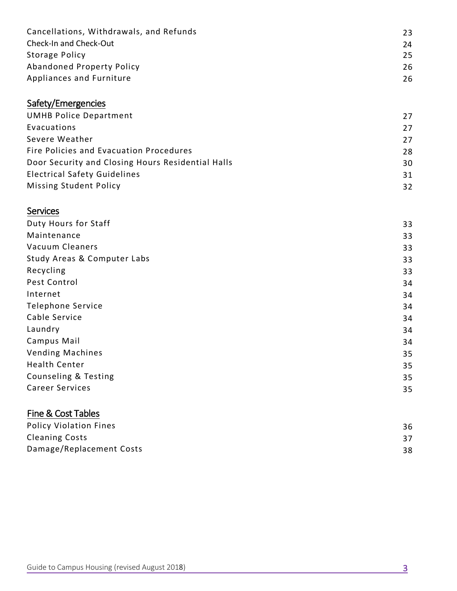| Cancellations, Withdrawals, and Refunds | 23 |
|-----------------------------------------|----|
| Check-In and Check-Out                  | 24 |
| Storage Policy                          | 25 |
| Abandoned Property Policy               | 26 |
| Appliances and Furniture                | 26 |

### Safety/Emergencies

| <b>UMHB Police Department</b>                     | 27 |
|---------------------------------------------------|----|
| Evacuations                                       | 27 |
| Severe Weather                                    | 27 |
| Fire Policies and Evacuation Procedures           | 28 |
| Door Security and Closing Hours Residential Halls | 30 |
| <b>Electrical Safety Guidelines</b>               | 31 |
| <b>Missing Student Policy</b>                     | 32 |
|                                                   |    |

#### Services

| Duty Hours for Staff        | 33 |
|-----------------------------|----|
| Maintenance                 | 33 |
| Vacuum Cleaners             | 33 |
| Study Areas & Computer Labs | 33 |
| Recycling                   | 33 |
| Pest Control                | 34 |
| Internet                    | 34 |
| <b>Telephone Service</b>    | 34 |
| Cable Service               | 34 |
| Laundry                     | 34 |
| Campus Mail                 | 34 |
| <b>Vending Machines</b>     | 35 |
| <b>Health Center</b>        | 35 |
| Counseling & Testing        | 35 |
| <b>Career Services</b>      | 35 |
|                             |    |

### Fine & Cost Tables

| <b>Policy Violation Fines</b> | 36 |
|-------------------------------|----|
| <b>Cleaning Costs</b>         |    |
| Damage/Replacement Costs      | 38 |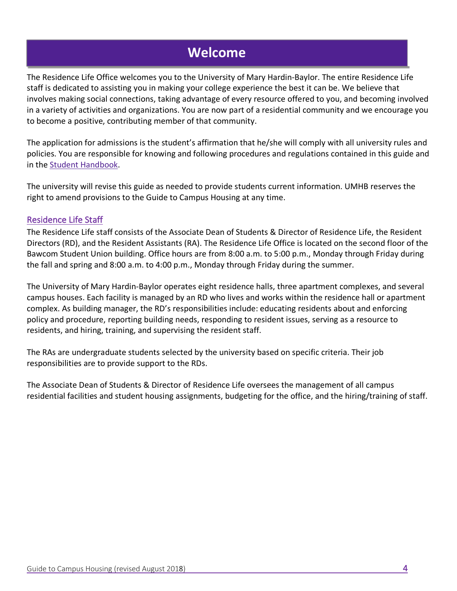### **Welcome**

The Residence Life Office welcomes you to the University of Mary Hardin-Baylor. The entire Residence Life staff is dedicated to assisting you in making your college experience the best it can be. We believe that involves making social connections, taking advantage of every resource offered to you, and becoming involved in a variety of activities and organizations. You are now part of a residential community and we encourage you to become a positive, contributing member of that community.

The application for admissions is the student's affirmation that he/she will comply with all university rules and policies. You are responsible for knowing and following procedures and regulations contained in this guide and in the [Student Handbook.](https://go.umhb.edu/students/student-handbook) 

The university will revise this guide as needed to provide students current information. UMHB reserves the right to amend provisions to the Guide to Campus Housing at any time.

#### Residence Life Staff

The Residence Life staff consists of the Associate Dean of Students & Director of Residence Life, the Resident Directors (RD), and the Resident Assistants (RA). The Residence Life Office is located on the second floor of the Bawcom Student Union building. Office hours are from 8:00 a.m. to 5:00 p.m., Monday through Friday during the fall and spring and 8:00 a.m. to 4:00 p.m., Monday through Friday during the summer.

The University of Mary Hardin-Baylor operates eight residence halls, three apartment complexes, and several campus houses. Each facility is managed by an RD who lives and works within the residence hall or apartment complex. As building manager, the RD's responsibilities include: educating residents about and enforcing policy and procedure, reporting building needs, responding to resident issues, serving as a resource to residents, and hiring, training, and supervising the resident staff.

The RAs are undergraduate students selected by the university based on specific criteria. Their job responsibilities are to provide support to the RDs.

The Associate Dean of Students & Director of Residence Life oversees the management of all campus residential facilities and student housing assignments, budgeting for the office, and the hiring/training of staff.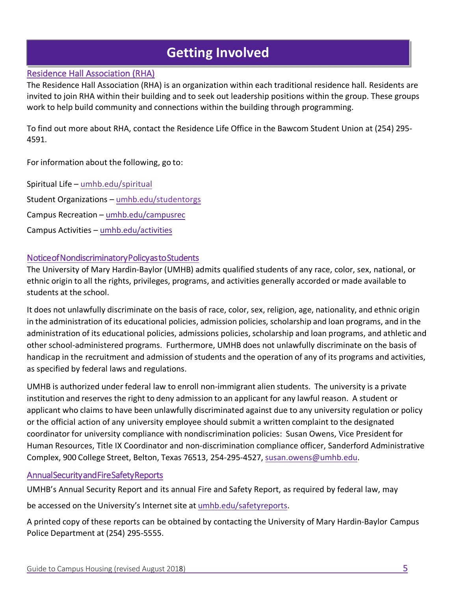# **Getting Involved**

#### Residence Hall Association (RHA)

The Residence Hall Association (RHA) is an organization within each traditional residence hall. Residents are invited to join RHA within their building and to seek out leadership positions within the group. These groups work to help build community and connections within the building through programming.

To find out more about RHA, contact the Residence Life Office in the Bawcom Student Union at (254) 295- 4591.

For information about the following, go to:

Spiritual Life – [umhb.edu/spiritual](https://go.umhb.edu/about/spiritual-life) Student Organizations – [umhb.edu/studentorgs](https://go.umhb.edu/students/orgs/home) Campus Recreation – [umhb.edu/campusrec](https://go.umhb.edu/students/rec/home) Campus Activities – [umhb.edu/activities](https://go.umhb.edu/students/activities/home)

#### Notice of Nondiscriminatory Policy as to Students

The University of Mary Hardin-Baylor (UMHB) admits qualified students of any race, color, sex, national, or ethnic origin to all the rights, privileges, programs, and activities generally accorded or made available to students at the school.

It does not unlawfully discriminate on the basis of race, color, sex, religion, age, nationality, and ethnic origin in the administration of its educational policies, admission policies, scholarship and loan programs, and in the administration of its educational policies, admissions policies,scholarship and loan programs, and athletic and other school-administered programs. Furthermore, UMHB does not unlawfully discriminate on the basis of handicap in the recruitment and admission of students and the operation of any of its programs and activities, as specified by federal laws and regulations.

UMHB is authorized under federal law to enroll non-immigrant alien students. The university is a private institution and reserves the right to deny admission to an applicant for any lawful reason. A student or applicant who claims to have been unlawfully discriminated against due to any university regulation or policy or the official action of any university employee should submit a written complaint to the designated coordinator for university compliance with nondiscrimination policies: Susan Owens, Vice President for Human Resources, Title IX Coordinator and non-discrimination compliance officer, Sanderford Administrative Complex, 900 College Street, Belton, Texas 76513, 254-295-4527, [susan.owens@umhb.edu.](mailto:susan.owens@umhb.edu) 

#### Annual Security and Fire Safety Reports

UMHB's Annual Security Report and its annual Fire and Safety Report, as required by federal law, may

be accessed on the University's Internet site at [umhb.edu/safetyreports.](https://go.umhb.edu/police/policies-reports)

A printed copy of these reports can be obtained by contacting the University of Mary Hardin-Baylor Campus Police Department at (254) 295-5555.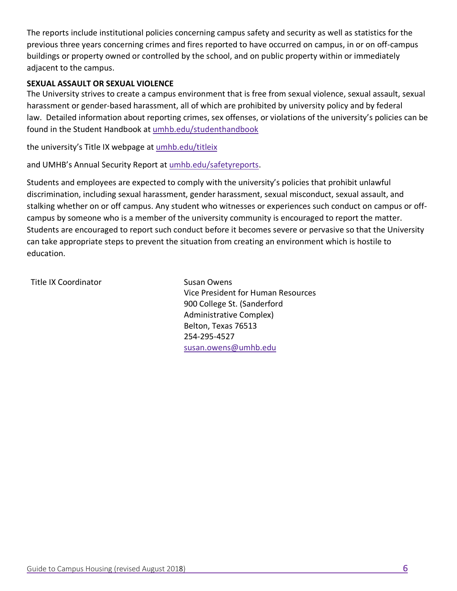The reports include institutional policies concerning campus safety and security as well as statistics for the previous three years concerning crimes and fires reported to have occurred on campus, in or on off-campus buildings or property owned or controlled by the school, and on public property within or immediately adjacent to the campus.

#### **SEXUAL ASSAULT OR SEXUAL VIOLENCE**

The University strives to create a campus environment that is free from sexual violence, sexual assault, sexual harassment or gender-based harassment, all of which are prohibited by university policy and by federal law. Detailed information about reporting crimes, sex offenses, or violations of the university's policies can be found in the Student Handbook at [umhb.edu/studenthandbook](https://go.umhb.edu/students/student-handbook)

the university's Title IX webpage at [umhb.edu/titleix](https://go.umhb.edu/resources/titleix/home)

and UMHB's Annual Security Report at [umhb.edu/safetyreports.](https://go.umhb.edu/police/policies-reports)

Students and employees are expected to comply with the university's policies that prohibit unlawful discrimination, including sexual harassment, gender harassment, sexual misconduct, sexual assault, and stalking whether on or off campus. Any student who witnesses or experiences such conduct on campus or offcampus by someone who is a member of the university community is encouraged to report the matter. Students are encouraged to report such conduct before it becomes severe or pervasive so that the University can take appropriate steps to prevent the situation from creating an environment which is hostile to education.

Title IX Coordinator **Susan Owens** 

Vice President for Human Resources 900 College St. (Sanderford Administrative Complex) Belton, Texas 76513 254-295-4527 [susan.owens@umhb.edu](mailto:susan.owens@umhb.edu)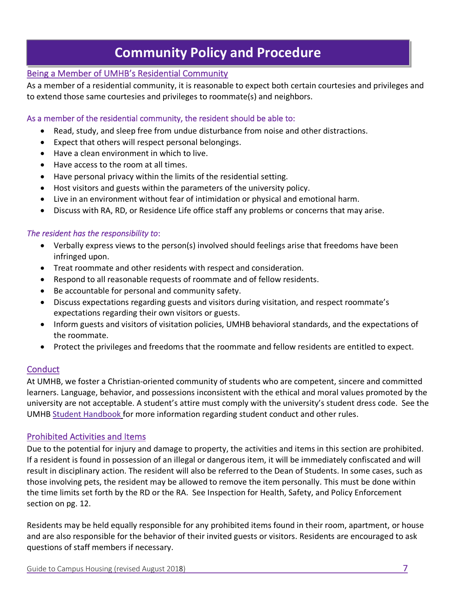### **Community Policy and Procedure**

#### Being a Member of UMHB's Residential Community

As a member of a residential community, it is reasonable to expect both certain courtesies and privileges and to extend those same courtesies and privileges to roommate(s) and neighbors.

#### As a member of the residential community, the resident should be able to:

- Read, study, and sleep free from undue disturbance from noise and other distractions.
- Expect that others will respect personal belongings.
- Have a clean environment in which to live.
- Have access to the room at all times.
- Have personal privacy within the limits of the residential setting.
- Host visitors and guests within the parameters of the university policy.
- Live in an environment without fear of intimidation or physical and emotional harm.
- Discuss with RA, RD, or Residence Life office staff any problems or concerns that may arise.

#### *The resident has the responsibility to*:

- Verbally express views to the person(s) involved should feelings arise that freedoms have been infringed upon.
- Treat roommate and other residents with respect and consideration.
- Respond to all reasonable requests of roommate and of fellow residents.
- Be accountable for personal and community safety.
- Discuss expectations regarding guests and visitors during visitation, and respect roommate's expectations regarding their own visitors or guests.
- Inform guests and visitors of visitation policies, UMHB behavioral standards, and the expectations of the roommate.
- Protect the privileges and freedoms that the roommate and fellow residents are entitled to expect.

#### **Conduct**

At UMHB, we foster a Christian-oriented community of students who are competent, sincere and committed learners. Language, behavior, and possessions inconsistent with the ethical and moral values promoted by the university are not acceptable. A student's attire must comply with the university's student dress code. See the UMHB [Student Handbook](https://go.umhb.edu/students/student-handbook) for more information regarding student conduct and other rules.

#### Prohibited Activities and Items

Due to the potential for injury and damage to property, the activities and items in this section are prohibited. If a resident is found in possession of an illegal or dangerous item, it will be immediately confiscated and will result in disciplinary action. The resident will also be referred to the Dean of Students. In some cases, such as those involving pets, the resident may be allowed to remove the item personally. This must be done within the time limits set forth by the RD or the RA. See Inspection for Health, Safety, and Policy Enforcement section on pg. 12.

Residents may be held equally responsible for any prohibited items found in their room, apartment, or house and are also responsible for the behavior of their invited guests or visitors. Residents are encouraged to ask questions of staff members if necessary.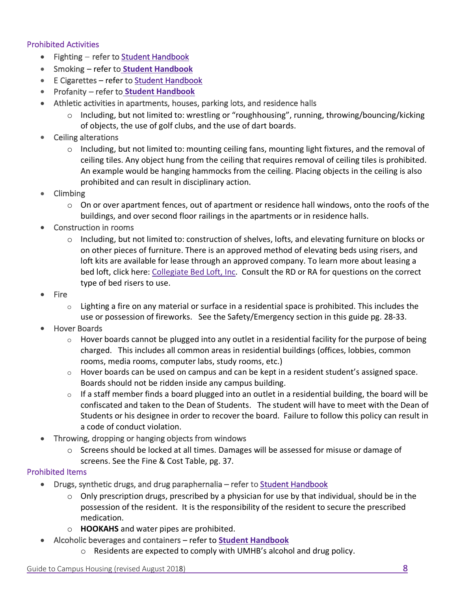#### Prohibited Activities

- Fighting refer to [Student Handbook](https://go.umhb.edu/students/student-handbook)
- Smoking refer to **[Student Handbook](https://go.umhb.edu/students/student-handbook)**
- E Cigarettes refer to [Student Handbook](https://go.umhb.edu/students/student-handbook)
- Profanity refer to **[Student Handbook](https://go.umhb.edu/students/student-handbook)**
- Athletic activities in apartments, houses, parking lots, and residence halls
	- $\circ$  Including, but not limited to: wrestling or "roughhousing", running, throwing/bouncing/kicking of objects, the use of golf clubs, and the use of dart boards.
- Ceiling alterations
	- $\circ$  Including, but not limited to: mounting ceiling fans, mounting light fixtures, and the removal of ceiling tiles. Any object hung from the ceiling that requires removal of ceiling tiles is prohibited. An example would be hanging hammocks from the ceiling. Placing objects in the ceiling is also prohibited and can result in disciplinary action.
- Climbing
	- o On or over apartment fences, out of apartment or residence hall windows, onto the roofs of the buildings, and over second floor railings in the apartments or in residence halls.
- Construction in rooms
	- $\circ$  Including, but not limited to: construction of shelves, lofts, and elevating furniture on blocks or on other pieces of furniture. There is an approved method of elevating beds using risers, and loft kits are available for lease through an approved company. To learn more about leasing a bed loft, click here: [Collegiate Bed Loft, Inc.](https://go.umhb.edu/students/residence/bed-lofts) Consult the RD or RA for questions on the correct type of bed risers to use.
- Fire
	- $\circ$  Lighting a fire on any material or surface in a residential space is prohibited. This includes the use or possession of fireworks. See the Safety/Emergency section in this guide pg. 28-33.
- Hover Boards
	- $\circ$  Hover boards cannot be plugged into any outlet in a residential facility for the purpose of being charged. This includes all common areas in residential buildings (offices, lobbies, common rooms, media rooms, computer labs, study rooms, etc.)
	- $\circ$  Hover boards can be used on campus and can be kept in a resident student's assigned space. Boards should not be ridden inside any campus building.
	- $\circ$  If a staff member finds a board plugged into an outlet in a residential building, the board will be confiscated and taken to the Dean of Students. The student will have to meet with the Dean of Students or his designee in order to recover the board. Failure to follow this policy can result in a code of conduct violation.
- Throwing, dropping or hanging objects from windows
	- $\circ$  Screens should be locked at all times. Damages will be assessed for misuse or damage of screens. See the Fine & Cost Table, pg. 37.

#### Prohibited Items

- Drugs, synthetic drugs, and drug paraphernalia refer to [Student Handbook](https://go.umhb.edu/students/student-handbook)
	- $\circ$  Only prescription drugs, prescribed by a physician for use by that individual, should be in the possession of the resident. It is the responsibility of the resident to secure the prescribed medication.
	- o **HOOKAHS** and water pipes are prohibited.
- Alcoholic beverages and containers refer to **[Student Handbook](https://go.umhb.edu/students/student-handbook)**
	- o Residents are expected to comply with UMHB's alcohol and drug policy.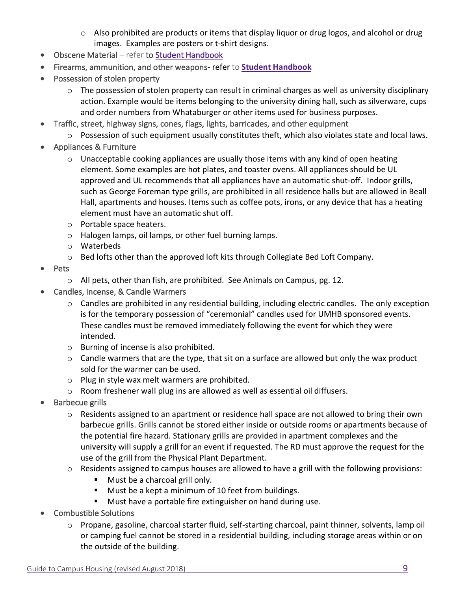- o Also prohibited are products or items that display liquor or drug logos, and alcohol or drug images. Examples are posters or t-shirt designs.
- Obscene Material refer to [Student Handbook](https://go.umhb.edu/students/student-handbook)
- Firearms, ammunition, and other weapons- refer to **[Student Handbook](https://go.umhb.edu/students/student-handbook)**
- Possession of stolen property
	- $\circ$  The possession of stolen property can result in criminal charges as well as university disciplinary action. Example would be items belonging to the university dining hall, such as silverware, cups and order numbers from Whataburger or other items used for business purposes.
- Traffic, street, highway signs, cones, flags, lights, barricades, and other equipment
	- o Possession of such equipment usually constitutes theft, which also violates state and local laws.
- Appliances & Furniture
	- $\circ$  Unacceptable cooking appliances are usually those items with any kind of open heating element. Some examples are hot plates, and toaster ovens. All appliances should be UL approved and UL recommends that all appliances have an automatic shut-off. Indoor grills, such as George Foreman type grills, are prohibited in all residence halls but are allowed in Beall Hall, apartments and houses. Items such as coffee pots, irons, or any device that has a heating element must have an automatic shut off.
	- o Portable space heaters.
	- o Halogen lamps, oil lamps, or other fuel burning lamps.
	- o Waterbeds
	- o Bed lofts other than the approved loft kits through Collegiate Bed Loft Company.
- Pets
	- o All pets, other than fish, are prohibited. See Animals on Campus, pg. 12.
- Candles, Incense, & Candle Warmers
	- o Candles are prohibited in any residential building, including electric candles. The only exception is for the temporary possession of "ceremonial" candles used for UMHB sponsored events. These candles must be removed immediately following the event for which they were intended.
	- o Burning of incense is also prohibited.
	- $\circ$  Candle warmers that are the type, that sit on a surface are allowed but only the wax product sold for the warmer can be used.
	- o Plug in style wax melt warmers are prohibited.
	- $\circ$  Room freshener wall plug ins are allowed as well as essential oil diffusers.
- Barbecue grills
	- o Residents assigned to an apartment or residence hall space are not allowed to bring their own barbecue grills. Grills cannot be stored either inside or outside rooms or apartments because of the potential fire hazard. Stationary grills are provided in apartment complexes and the university will supply a grill for an event if requested. The RD must approve the request for the use of the grill from the Physical Plant Department.
	- $\circ$  Residents assigned to campus houses are allowed to have a grill with the following provisions:
		- Must be a charcoal grill only.
		- Must be a kept a minimum of 10 feet from buildings.
		- Must have a portable fire extinguisher on hand during use.
- Combustible Solutions
	- o Propane, gasoline, charcoal starter fluid, self-starting charcoal, paint thinner, solvents, lamp oil or camping fuel cannot be stored in a residential building, including storage areas within or on the outside of the building.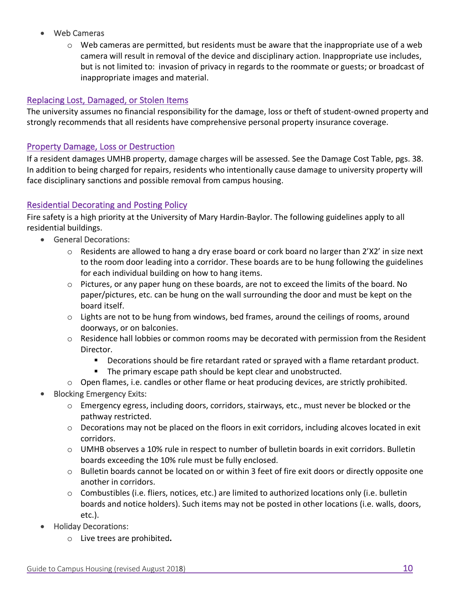- Web Cameras
	- $\circ$  Web cameras are permitted, but residents must be aware that the inappropriate use of a web camera will result in removal of the device and disciplinary action. Inappropriate use includes, but is not limited to: invasion of privacy in regards to the roommate or guests; or broadcast of inappropriate images and material.

#### Replacing Lost, Damaged, or Stolen Items

The university assumes no financial responsibility for the damage, loss or theft of student-owned property and strongly recommends that all residents have comprehensive personal property insurance coverage.

#### Property Damage, Loss or Destruction

If a resident damages UMHB property, damage charges will be assessed. See the Damage Cost Table, pgs. 38. In addition to being charged for repairs, residents who intentionally cause damage to university property will face disciplinary sanctions and possible removal from campus housing.

#### Residential Decorating and Posting Policy

Fire safety is a high priority at the University of Mary Hardin-Baylor. The following guidelines apply to all residential buildings.

- General Decorations:
	- $\circ$  Residents are allowed to hang a dry erase board or cork board no larger than 2'X2' in size next to the room door leading into a corridor. These boards are to be hung following the guidelines for each individual building on how to hang items.
	- $\circ$  Pictures, or any paper hung on these boards, are not to exceed the limits of the board. No paper/pictures, etc. can be hung on the wall surrounding the door and must be kept on the board itself.
	- $\circ$  Lights are not to be hung from windows, bed frames, around the ceilings of rooms, around doorways, or on balconies.
	- $\circ$  Residence hall lobbies or common rooms may be decorated with permission from the Resident Director.
		- **•** Decorations should be fire retardant rated or sprayed with a flame retardant product.
		- The primary escape path should be kept clear and unobstructed.
	- $\circ$  Open flames, i.e. candles or other flame or heat producing devices, are strictly prohibited.
- Blocking Emergency Exits:
	- o Emergency egress, including doors, corridors, stairways, etc., must never be blocked or the pathway restricted.
	- $\circ$  Decorations may not be placed on the floors in exit corridors, including alcoves located in exit corridors.
	- $\circ$  UMHB observes a 10% rule in respect to number of bulletin boards in exit corridors. Bulletin boards exceeding the 10% rule must be fully enclosed.
	- $\circ$  Bulletin boards cannot be located on or within 3 feet of fire exit doors or directly opposite one another in corridors.
	- $\circ$  Combustibles (i.e. fliers, notices, etc.) are limited to authorized locations only (i.e. bulletin boards and notice holders). Such items may not be posted in other locations (i.e. walls, doors, etc.).
- Holiday Decorations:
	- o Live trees are prohibited**.**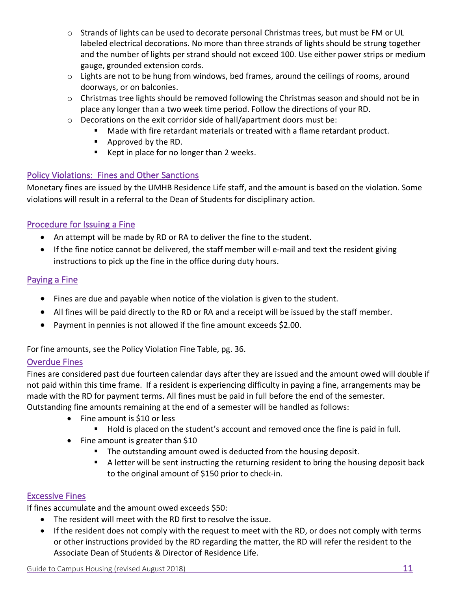- o Strands of lights can be used to decorate personal Christmas trees, but must be FM or UL labeled electrical decorations. No more than three strands of lights should be strung together and the number of lights per strand should not exceed 100. Use either power strips or medium gauge, grounded extension cords.
- o Lights are not to be hung from windows, bed frames, around the ceilings of rooms, around doorways, or on balconies.
- o Christmas tree lights should be removed following the Christmas season and should not be in place any longer than a two week time period. Follow the directions of your RD.
- $\circ$  Decorations on the exit corridor side of hall/apartment doors must be:
	- § Made with fire retardant materials or treated with a flame retardant product.
	- Approved by the RD.
	- Kept in place for no longer than 2 weeks.

#### Policy Violations: Fines and Other Sanctions

Monetary fines are issued by the UMHB Residence Life staff, and the amount is based on the violation. Some violations will result in a referral to the Dean of Students for disciplinary action.

#### Procedure for Issuing a Fine

- An attempt will be made by RD or RA to deliver the fine to the student.
- If the fine notice cannot be delivered, the staff member will e-mail and text the resident giving instructions to pick up the fine in the office during duty hours.

#### Paying a Fine

- Fines are due and payable when notice of the violation is given to the student.
- All fines will be paid directly to the RD or RA and a receipt will be issued by the staff member.
- Payment in pennies is not allowed if the fine amount exceeds \$2.00.

For fine amounts, see the Policy Violation Fine Table, pg. 36.

#### Overdue Fines

Fines are considered past due fourteen calendar days after they are issued and the amount owed will double if not paid within this time frame. If a resident is experiencing difficulty in paying a fine, arrangements may be made with the RD for payment terms. All fines must be paid in full before the end of the semester. Outstanding fine amounts remaining at the end of a semester will be handled as follows:

- Fine amount is \$10 or less
	- Hold is placed on the student's account and removed once the fine is paid in full.
- Fine amount is greater than \$10
	- The outstanding amount owed is deducted from the housing deposit.
	- A letter will be sent instructing the returning resident to bring the housing deposit back to the original amount of \$150 prior to check-in.

#### Excessive Fines

If fines accumulate and the amount owed exceeds \$50:

- The resident will meet with the RD first to resolve the issue.
- If the resident does not comply with the request to meet with the RD, or does not comply with terms or other instructions provided by the RD regarding the matter, the RD will refer the resident to the Associate Dean of Students & Director of Residence Life.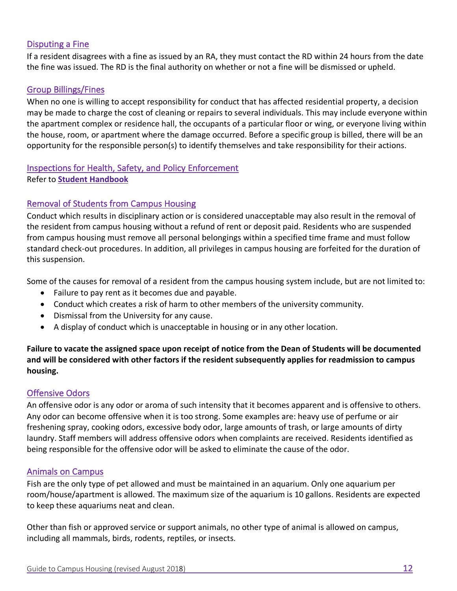#### Disputing a Fine

If a resident disagrees with a fine as issued by an RA, they must contact the RD within 24 hours from the date the fine was issued. The RD is the final authority on whether or not a fine will be dismissed or upheld.

#### Group Billings/Fines

When no one is willing to accept responsibility for conduct that has affected residential property, a decision may be made to charge the cost of cleaning or repairs to several individuals. This may include everyone within the apartment complex or residence hall, the occupants of a particular floor or wing, or everyone living within the house, room, or apartment where the damage occurred. Before a specific group is billed, there will be an opportunity for the responsible person(s) to identify themselves and take responsibility for their actions.

#### Inspections for Health, Safety, and Policy Enforcement Refer to **[Student Handbook](https://go.umhb.edu/students/student-handbook)**

#### Removal of Students from Campus Housing

Conduct which results in disciplinary action or is considered unacceptable may also result in the removal of the resident from campus housing without a refund of rent or deposit paid. Residents who are suspended from campus housing must remove all personal belongings within a specified time frame and must follow standard check-out procedures. In addition, all privileges in campus housing are forfeited for the duration of this suspension.

Some of the causes for removal of a resident from the campus housing system include, but are not limited to:

- Failure to pay rent as it becomes due and payable.
- Conduct which creates a risk of harm to other members of the university community.
- Dismissal from the University for any cause.
- A display of conduct which is unacceptable in housing or in any other location.

**Failure to vacate the assigned space upon receipt of notice from the Dean of Students will be documented and will be considered with other factors if the resident subsequently applies for readmission to campus housing.**

#### Offensive Odors

An offensive odor is any odor or aroma of such intensity that it becomes apparent and is offensive to others. Any odor can become offensive when it is too strong. Some examples are: heavy use of perfume or air freshening spray, cooking odors, excessive body odor, large amounts of trash, or large amounts of dirty laundry. Staff members will address offensive odors when complaints are received. Residents identified as being responsible for the offensive odor will be asked to eliminate the cause of the odor.

#### Animals on Campus

Fish are the only type of pet allowed and must be maintained in an aquarium. Only one aquarium per room/house/apartment is allowed. The maximum size of the aquarium is 10 gallons. Residents are expected to keep these aquariums neat and clean.

Other than fish or approved service or support animals, no other type of animal is allowed on campus, including all mammals, birds, rodents, reptiles, or insects.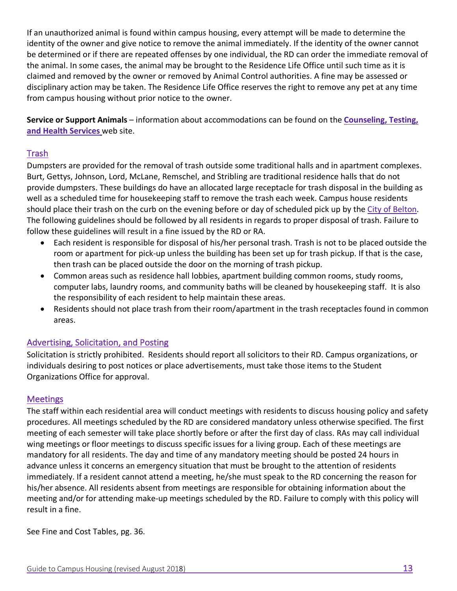If an unauthorized animal is found within campus housing, every attempt will be made to determine the identity of the owner and give notice to remove the animal immediately. If the identity of the owner cannot be determined or if there are repeated offenses by one individual, the RD can order the immediate removal of the animal. In some cases, the animal may be brought to the Residence Life Office until such time as it is claimed and removed by the owner or removed by Animal Control authorities. A fine may be assessed or disciplinary action may be taken. The Residence Life Office reserves the right to remove any pet at any time from campus housing without prior notice to the owner.

**Service or Support Animals** – information about accommodations can be found on the **[Counseling, Testing,](https://go.umhb.edu/resources/disability/service-and-support-animal-policy)  [and Health Services](https://go.umhb.edu/resources/disability/service-and-support-animal-policy)** web site.

#### Trash

Dumpsters are provided for the removal of trash outside some traditional halls and in apartment complexes. Burt, Gettys, Johnson, Lord, McLane, Remschel, and Stribling are traditional residence halls that do not provide dumpsters. These buildings do have an allocated large receptacle for trash disposal in the building as well as a scheduled time for housekeeping staff to remove the trash each week. Campus house residents should place their trash on the curb on the evening before or day of scheduled pick up by the [City of Belton.](http://www.beltontexas.gov/index.aspx?NID=91)  The following guidelines should be followed by all residents in regards to proper disposal of trash. Failure to follow these guidelines will result in a fine issued by the RD or RA.

- Each resident is responsible for disposal of his/her personal trash. Trash is not to be placed outside the room or apartment for pick-up unless the building has been set up for trash pickup. If that is the case, then trash can be placed outside the door on the morning of trash pickup.
- Common areas such as residence hall lobbies, apartment building common rooms, study rooms, computer labs, laundry rooms, and community baths will be cleaned by housekeeping staff. It is also the responsibility of each resident to help maintain these areas.
- Residents should not place trash from their room/apartment in the trash receptacles found in common areas.

#### Advertising, Solicitation, and Posting

Solicitation is strictly prohibited. Residents should report all solicitors to their RD. Campus organizations, or individuals desiring to post notices or place advertisements, must take those items to the Student Organizations Office for approval.

#### **Meetings**

The staff within each residential area will conduct meetings with residents to discuss housing policy and safety procedures. All meetings scheduled by the RD are considered mandatory unless otherwise specified. The first meeting of each semester will take place shortly before or after the first day of class. RAs may call individual wing meetings or floor meetings to discuss specific issues for a living group. Each of these meetings are mandatory for all residents. The day and time of any mandatory meeting should be posted 24 hours in advance unless it concerns an emergency situation that must be brought to the attention of residents immediately. If a resident cannot attend a meeting, he/she must speak to the RD concerning the reason for his/her absence. All residents absent from meetings are responsible for obtaining information about the meeting and/or for attending make-up meetings scheduled by the RD. Failure to comply with this policy will result in a fine.

See Fine and Cost Tables, pg. 36.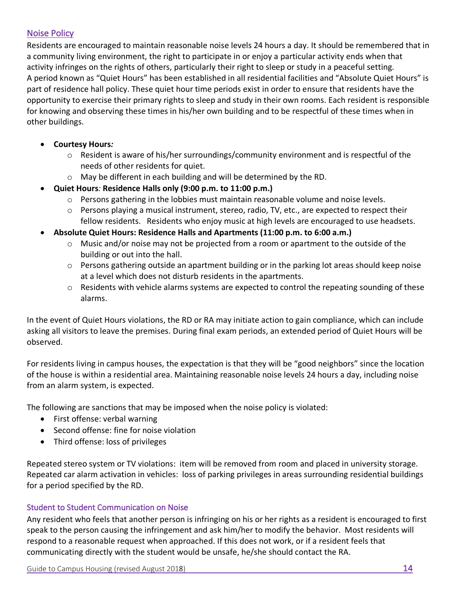#### Noise Policy

Residents are encouraged to maintain reasonable noise levels 24 hours a day. It should be remembered that in a community living environment, the right to participate in or enjoy a particular activity ends when that activity infringes on the rights of others, particularly their right to sleep or study in a peaceful setting. A period known as "Quiet Hours" has been established in all residential facilities and "Absolute Quiet Hours" is part of residence hall policy. These quiet hour time periods exist in order to ensure that residents have the opportunity to exercise their primary rights to sleep and study in their own rooms. Each resident is responsible for knowing and observing these times in his/her own building and to be respectful of these times when in other buildings.

- **Courtesy Hours***:*
	- o Resident is aware of his/her surroundings/community environment and is respectful of the needs of other residents for quiet.
	- o May be different in each building and will be determined by the RD.
- **Quiet Hours***:* **Residence Halls only (9:00 p.m. to 11:00 p.m.)**
	- $\circ$  Persons gathering in the lobbies must maintain reasonable volume and noise levels.
	- $\circ$  Persons playing a musical instrument, stereo, radio, TV, etc., are expected to respect their fellow residents. Residents who enjoy music at high levels are encouraged to use headsets.
- **Absolute Quiet Hours: Residence Halls and Apartments (11:00 p.m. to 6:00 a.m.)**
	- o Music and/or noise may not be projected from a room or apartment to the outside of the building or out into the hall.
	- $\circ$  Persons gathering outside an apartment building or in the parking lot areas should keep noise at a level which does not disturb residents in the apartments.
	- o Residents with vehicle alarms systems are expected to control the repeating sounding of these alarms.

In the event of Quiet Hours violations, the RD or RA may initiate action to gain compliance, which can include asking all visitors to leave the premises. During final exam periods, an extended period of Quiet Hours will be observed.

For residents living in campus houses, the expectation is that they will be "good neighbors" since the location of the house is within a residential area. Maintaining reasonable noise levels 24 hours a day, including noise from an alarm system, is expected.

The following are sanctions that may be imposed when the noise policy is violated:

- First offense: verbal warning
- Second offense: fine for noise violation
- Third offense: loss of privileges

Repeated stereo system or TV violations: item will be removed from room and placed in university storage. Repeated car alarm activation in vehicles: loss of parking privileges in areas surrounding residential buildings for a period specified by the RD.

#### Student to Student Communication on Noise

Any resident who feels that another person is infringing on his or her rights as a resident is encouraged to first speak to the person causing the infringement and ask him/her to modify the behavior. Most residents will respond to a reasonable request when approached. If this does not work, or if a resident feels that communicating directly with the student would be unsafe, he/she should contact the RA.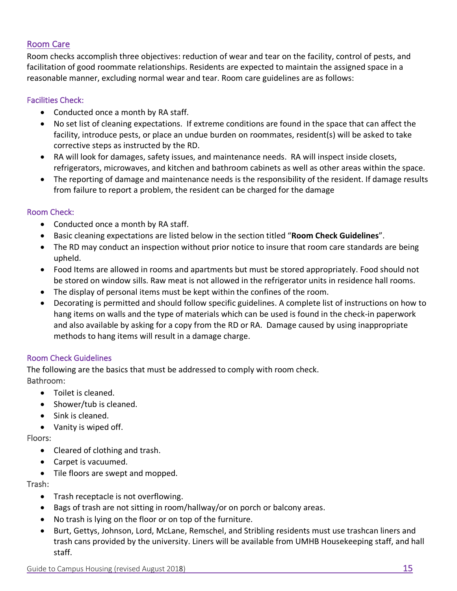#### Room Care

Room checks accomplish three objectives: reduction of wear and tear on the facility, control of pests, and facilitation of good roommate relationships. Residents are expected to maintain the assigned space in a reasonable manner, excluding normal wear and tear. Room care guidelines are as follows:

#### Facilities Check:

- Conducted once a month by RA staff.
- No set list of cleaning expectations. If extreme conditions are found in the space that can affect the facility, introduce pests, or place an undue burden on roommates, resident(s) will be asked to take corrective steps as instructed by the RD.
- RA will look for damages, safety issues, and maintenance needs. RA will inspect inside closets, refrigerators, microwaves, and kitchen and bathroom cabinets as well as other areas within the space.
- The reporting of damage and maintenance needs is the responsibility of the resident. If damage results from failure to report a problem, the resident can be charged for the damage

#### Room Check:

- Conducted once a month by RA staff.
- Basic cleaning expectations are listed below in the section titled "**Room Check Guidelines**".
- The RD may conduct an inspection without prior notice to insure that room care standards are being upheld.
- Food Items are allowed in rooms and apartments but must be stored appropriately. Food should not be stored on window sills. Raw meat is not allowed in the refrigerator units in residence hall rooms.
- The display of personal items must be kept within the confines of the room.
- Decorating is permitted and should follow specific guidelines. A complete list of instructions on how to hang items on walls and the type of materials which can be used is found in the check-in paperwork and also available by asking for a copy from the RD or RA. Damage caused by using inappropriate methods to hang items will result in a damage charge.

#### Room Check Guidelines

The following are the basics that must be addressed to comply with room check. Bathroom:

- Toilet is cleaned.
- Shower/tub is cleaned.
- Sink is cleaned.
- Vanity is wiped off.

Floors:

- Cleared of clothing and trash.
- Carpet is vacuumed.
- Tile floors are swept and mopped.

Trash:

- Trash receptacle is not overflowing.
- Bags of trash are not sitting in room/hallway/or on porch or balcony areas.
- No trash is lying on the floor or on top of the furniture.
- Burt, Gettys, Johnson, Lord, McLane, Remschel, and Stribling residents must use trashcan liners and trash cans provided by the university. Liners will be available from UMHB Housekeeping staff, and hall staff.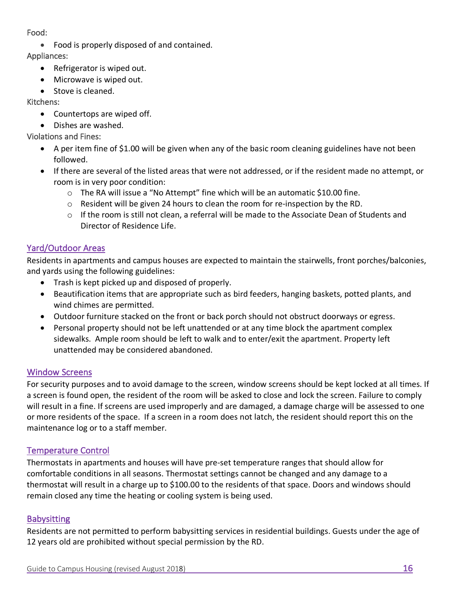#### Food:

• Food is properly disposed of and contained.

Appliances:

- Refrigerator is wiped out.
- Microwave is wiped out.
- Stove is cleaned.

Kitchens:

- Countertops are wiped off.
- Dishes are washed.

Violations and Fines:

- A per item fine of \$1.00 will be given when any of the basic room cleaning guidelines have not been followed.
- If there are several of the listed areas that were not addressed, or if the resident made no attempt, or room is in very poor condition:
	- $\circ$  The RA will issue a "No Attempt" fine which will be an automatic \$10.00 fine.
	- $\circ$  Resident will be given 24 hours to clean the room for re-inspection by the RD.
	- $\circ$  If the room is still not clean, a referral will be made to the Associate Dean of Students and Director of Residence Life.

#### Yard/Outdoor Areas

Residents in apartments and campus houses are expected to maintain the stairwells, front porches/balconies, and yards using the following guidelines:

- Trash is kept picked up and disposed of properly.
- Beautification items that are appropriate such as bird feeders, hanging baskets, potted plants, and wind chimes are permitted.
- Outdoor furniture stacked on the front or back porch should not obstruct doorways or egress.
- Personal property should not be left unattended or at any time block the apartment complex sidewalks. Ample room should be left to walk and to enter/exit the apartment. Property left unattended may be considered abandoned.

#### Window Screens

For security purposes and to avoid damage to the screen, window screens should be kept locked at all times. If a screen is found open, the resident of the room will be asked to close and lock the screen. Failure to comply will result in a fine. If screens are used improperly and are damaged, a damage charge will be assessed to one or more residents of the space. If a screen in a room does not latch, the resident should report this on the maintenance log or to a staff member.

#### Temperature Control

Thermostats in apartments and houses will have pre-set temperature ranges that should allow for comfortable conditions in all seasons. Thermostat settings cannot be changed and any damage to a thermostat will result in a charge up to \$100.00 to the residents of that space. Doors and windows should remain closed any time the heating or cooling system is being used.

#### **Babysitting**

Residents are not permitted to perform babysitting services in residential buildings. Guests under the age of 12 years old are prohibited without special permission by the RD.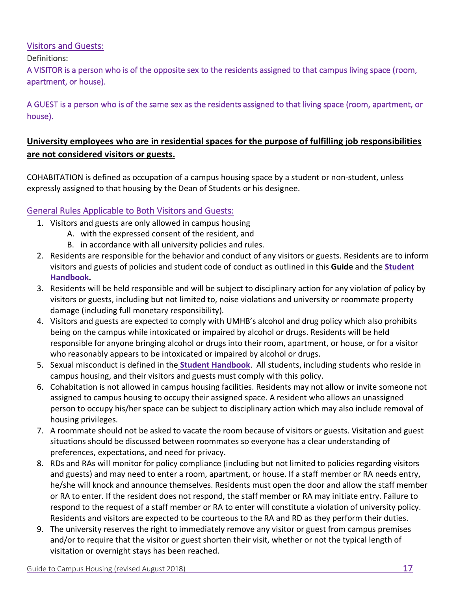#### Visitors and Guests:

Definitions:

A VISITOR is a person who is of the opposite sex to the residents assigned to that campus living space (room, apartment, or house).

A GUEST is a person who is of the same sex as the residents assigned to that living space (room, apartment, or house).

#### **University employees who are in residential spaces for the purpose of fulfilling job responsibilities are not considered visitors or guests.**

COHABITATION is defined as occupation of a campus housing space by a student or non-student, unless expressly assigned to that housing by the Dean of Students or his designee.

#### General Rules Applicable to Both Visitors and Guests:

- 1. Visitors and guests are only allowed in campus housing
	- A. with the expressed consent of the resident, and
	- B. in accordance with all university policies and rules.
- 2. Residents are responsible for the behavior and conduct of any visitors or guests. Residents are to inform visitors and guests of policies and student code of conduct as outlined in this **Guide** and the **[Student](https://go.umhb.edu/students/student-handbook) [Handbook.](https://go.umhb.edu/students/student-handbook)**
- 3. Residents will be held responsible and will be subject to disciplinary action for any violation of policy by visitors or guests, including but not limited to, noise violations and university or roommate property damage (including full monetary responsibility).
- 4. Visitors and guests are expected to comply with UMHB's alcohol and drug policy which also prohibits being on the campus while intoxicated or impaired by alcohol or drugs. Residents will be held responsible for anyone bringing alcohol or drugs into their room, apartment, or house, or for a visitor who reasonably appears to be intoxicated or impaired by alcohol or drugs.
- 5. Sexual misconduct is defined in the **[Student Handbook](https://go.umhb.edu/students/student-handbook)**. All students, including students who reside in campus housing, and their visitors and guests must comply with this policy.
- 6. Cohabitation is not allowed in campus housing facilities. Residents may not allow or invite someone not assigned to campus housing to occupy their assigned space. A resident who allows an unassigned person to occupy his/her space can be subject to disciplinary action which may also include removal of housing privileges.
- 7. A roommate should not be asked to vacate the room because of visitors or guests. Visitation and guest situations should be discussed between roommates so everyone has a clear understanding of preferences, expectations, and need for privacy.
- 8. RDs and RAs will monitor for policy compliance (including but not limited to policies regarding visitors and guests) and may need to enter a room, apartment, or house. If a staff member or RA needs entry, he/she will knock and announce themselves. Residents must open the door and allow the staff member or RA to enter. If the resident does not respond, the staff member or RA may initiate entry. Failure to respond to the request of a staff member or RA to enter will constitute a violation of university policy. Residents and visitors are expected to be courteous to the RA and RD as they perform their duties.
- 9. The university reserves the right to immediately remove any visitor or guest from campus premises and/or to require that the visitor or guest shorten their visit, whether or not the typical length of visitation or overnight stays has been reached.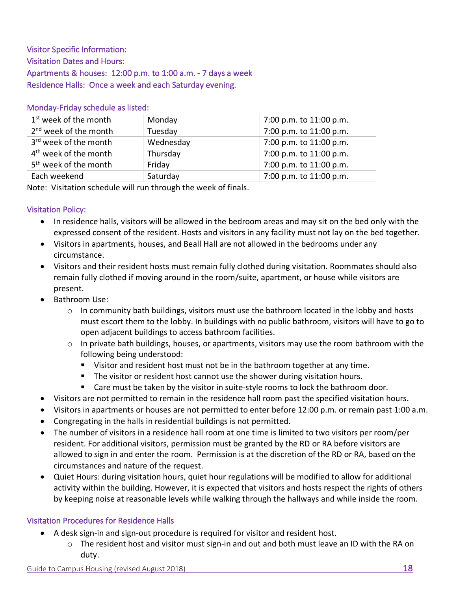Visitor Specific Information: Visitation Dates and Hours: Apartments & houses: 12:00 p.m. to 1:00 a.m. - 7 days a week Residence Halls: Once a week and each Saturday evening.

#### Monday-Friday schedule as listed:

| 1 <sup>st</sup> week of the month | Monday    | 7:00 p.m. to 11:00 p.m. |
|-----------------------------------|-----------|-------------------------|
| 2 <sup>nd</sup> week of the month | Tuesday   | 7:00 p.m. to 11:00 p.m. |
| 3 <sup>rd</sup> week of the month | Wednesday | 7:00 p.m. to 11:00 p.m. |
| 4 <sup>th</sup> week of the month | Thursday  | 7:00 p.m. to 11:00 p.m. |
| 5 <sup>th</sup> week of the month | Friday    | 7:00 p.m. to 11:00 p.m. |
| Each weekend                      | Saturday  | 7:00 p.m. to 11:00 p.m. |

Note: Visitation schedule will run through the week of finals.

#### Visitation Policy:

- In residence halls, visitors will be allowed in the bedroom areas and may sit on the bed only with the expressed consent of the resident. Hosts and visitors in any facility must not lay on the bed together.
- Visitors in apartments, houses, and Beall Hall are not allowed in the bedrooms under any circumstance.
- Visitors and their resident hosts must remain fully clothed during visitation. Roommates should also remain fully clothed if moving around in the room/suite, apartment, or house while visitors are present.
- Bathroom Use:
	- $\circ$  In community bath buildings, visitors must use the bathroom located in the lobby and hosts must escort them to the lobby. In buildings with no public bathroom, visitors will have to go to open adjacent buildings to access bathroom facilities.
	- $\circ$  In private bath buildings, houses, or apartments, visitors may use the room bathroom with the following being understood:
		- Visitor and resident host must not be in the bathroom together at any time.
		- **•** The visitor or resident host cannot use the shower during visitation hours.
		- Care must be taken by the visitor in suite-style rooms to lock the bathroom door.
- Visitors are not permitted to remain in the residence hall room past the specified visitation hours.
- Visitors in apartments or houses are not permitted to enter before 12:00 p.m. or remain past 1:00 a.m.
- Congregating in the halls in residential buildings is not permitted.
- The number of visitors in a residence hall room at one time is limited to two visitors per room/per resident. For additional visitors, permission must be granted by the RD or RA before visitors are allowed to sign in and enter the room. Permission is at the discretion of the RD or RA, based on the circumstances and nature of the request.
- Quiet Hours: during visitation hours, quiet hour regulations will be modified to allow for additional activity within the building. However, it is expected that visitors and hosts respect the rights of others by keeping noise at reasonable levels while walking through the hallways and while inside the room.

#### Visitation Procedures for Residence Halls

- A desk sign-in and sign-out procedure is required for visitor and resident host.
	- $\circ$  The resident host and visitor must sign-in and out and both must leave an ID with the RA on duty.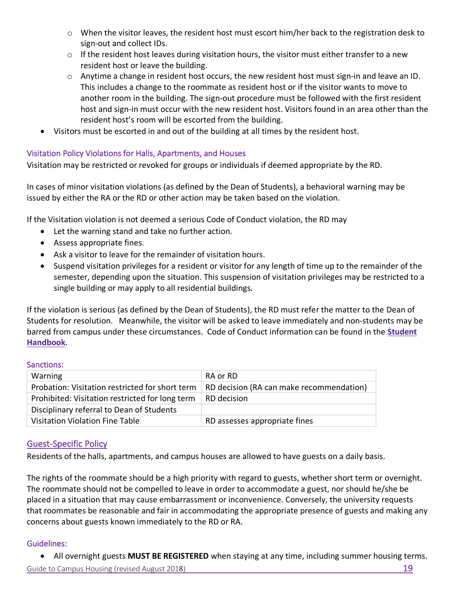- o When the visitor leaves, the resident host must escort him/her back to the registration desk to sign-out and collect IDs.
- $\circ$  If the resident host leaves during visitation hours, the visitor must either transfer to a new resident host or leave the building.
- $\circ$  Anytime a change in resident host occurs, the new resident host must sign-in and leave an ID. This includes a change to the roommate as resident host or if the visitor wants to move to another room in the building. The sign-out procedure must be followed with the first resident host and sign-in must occur with the new resident host. Visitors found in an area other than the resident host's room will be escorted from the building.
- Visitors must be escorted in and out of the building at all times by the resident host.

#### Visitation Policy Violations for Halls, Apartments, and Houses

Visitation may be restricted or revoked for groups or individuals if deemed appropriate by the RD.

In cases of minor visitation violations (as defined by the Dean of Students), a behavioral warning may be issued by either the RA or the RD or other action may be taken based on the violation.

If the Visitation violation is not deemed a serious Code of Conduct violation, the RD may

- Let the warning stand and take no further action.
- Assess appropriate fines.
- Ask a visitor to leave for the remainder of visitation hours.
- Suspend visitation privileges for a resident or visitor for any length of time up to the remainder of the semester, depending upon the situation. This suspension of visitation privileges may be restricted to a single building or may apply to all residential buildings.

If the violation is serious (as defined by the Dean of Students), the RD must refer the matter to the Dean of Students for resolution. Meanwhile, the visitor will be asked to leave immediately and non-students may be barred from campus under these circumstances. Code of Conduct information can be found in the **[Student](https://go.umhb.edu/students/student-handbook)  [Handbook](https://go.umhb.edu/students/student-handbook)**.

#### Sanctions:

| Warning                                         | RA or RD                                 |
|-------------------------------------------------|------------------------------------------|
| Probation: Visitation restricted for short term | RD decision (RA can make recommendation) |
| Prohibited: Visitation restricted for long term | RD decision                              |
| Disciplinary referral to Dean of Students       |                                          |
| Visitation Violation Fine Table                 | RD assesses appropriate fines            |

#### Guest-Specific Policy

Residents of the halls, apartments, and campus houses are allowed to have guests on a daily basis.

The rights of the roommate should be a high priority with regard to guests, whether short term or overnight. The roommate should not be compelled to leave in order to accommodate a guest, nor should he/she be placed in a situation that may cause embarrassment or inconvenience. Conversely, the university requests that roommates be reasonable and fair in accommodating the appropriate presence of guests and making any concerns about guests known immediately to the RD or RA.

#### Guidelines:

• All overnight guests **MUST BE REGISTERED** when staying at any time, including summer housing terms.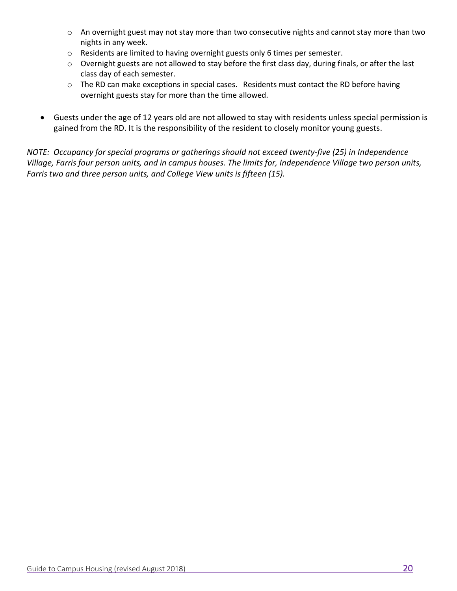- $\circ$  An overnight guest may not stay more than two consecutive nights and cannot stay more than two nights in any week.
- o Residents are limited to having overnight guests only 6 times per semester.
- o Overnight guests are not allowed to stay before the first class day, during finals, or after the last class day of each semester.
- o The RD can make exceptions in special cases. Residents must contact the RD before having overnight guests stay for more than the time allowed.
- Guests under the age of 12 years old are not allowed to stay with residents unless special permission is gained from the RD. It is the responsibility of the resident to closely monitor young guests.

*NOTE: Occupancy for special programs or gatherings should not exceed twenty-five (25) in Independence Village, Farris four person units, and in campus houses. The limits for, Independence Village two person units, Farris two and three person units, and College View units is fifteen (15).*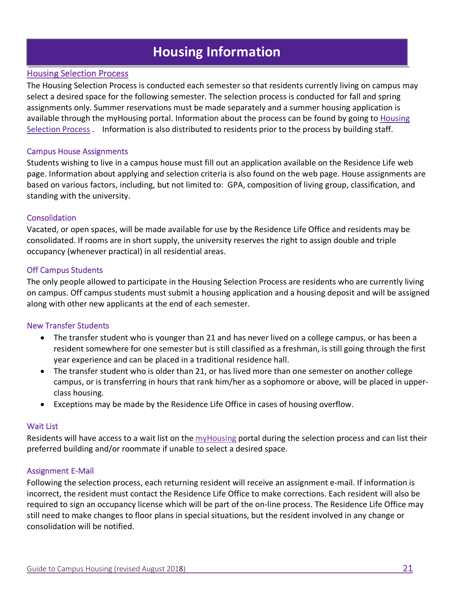### **Housing Information**

#### Housing Selection Process

The Housing Selection Process is conducted each semester so that residents currently living on campus may select a desired space for the following semester. The selection process is conducted for fall and spring assignments only. Summer reservations must be made separately and a summer housing application is available through the my[Housing](https://go.umhb.edu/students/residence/housing-process) portal. Information about the process can be found by going to Housing [Selection Process](https://go.umhb.edu/students/residence/housing-process) . Information is also distributed to residents prior to the process by building staff.

#### Campus House Assignments

Students wishing to live in a campus house must fill out an application available on the Residence Life web page. Information about applying and selection criteria is also found on the web page. House assignments are based on various factors, including, but not limited to: GPA, composition of living group, classification, and standing with the university.

#### Consolidation

Vacated, or open spaces, will be made available for use by the Residence Life Office and residents may be consolidated. If rooms are in short supply, the university reserves the right to assign double and triple occupancy (whenever practical) in all residential areas.

#### Off Campus Students

The only people allowed to participate in the Housing Selection Process are residents who are currently living on campus. Off campus students must submit a housing application and a housing deposit and will be assigned along with other new applicants at the end of each semester.

#### New Transfer Students

- The transfer student who is younger than 21 and has never lived on a college campus, or has been a resident somewhere for one semester but is still classified as a freshman, is still going through the first year experience and can be placed in a traditional residence hall.
- The transfer student who is older than 21, or has lived more than one semester on another college campus, or is transferring in hours that rank him/her as a sophomore or above, will be placed in upperclass housing.
- Exceptions may be made by the Residence Life Office in cases of housing overflow.

#### Wait List

Residents will have access to a wait list on the [myHousing](https://go.umhb.edu/students/residence/step-one) portal during the selection process and can list their preferred building and/or roommate if unable to select a desired space.

#### Assignment E-Mail

Following the selection process, each returning resident will receive an assignment e-mail. If information is incorrect, the resident must contact the Residence Life Office to make corrections. Each resident will also be required to sign an occupancy license which will be part of the on-line process. The Residence Life Office may still need to make changes to floor plans in special situations, but the resident involved in any change or consolidation will be notified.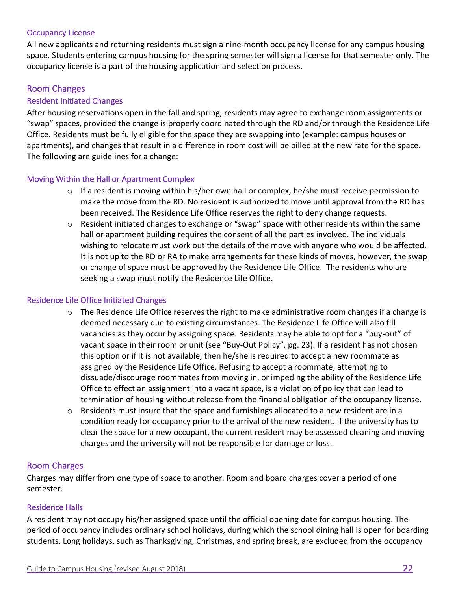#### Occupancy License

All new applicants and returning residents must sign a nine-month occupancy license for any campus housing space. Students entering campus housing for the spring semester will sign a license for that semester only. The occupancy license is a part of the housing application and selection process.

#### Room Changes

#### Resident Initiated Changes

After housing reservations open in the fall and spring, residents may agree to exchange room assignments or "swap" spaces, provided the change is properly coordinated through the RD and/or through the Residence Life Office. Residents must be fully eligible for the space they are swapping into (example: campus houses or apartments), and changes that result in a difference in room cost will be billed at the new rate for the space. The following are guidelines for a change:

#### Moving Within the Hall or Apartment Complex

- $\circ$  If a resident is moving within his/her own hall or complex, he/she must receive permission to make the move from the RD. No resident is authorized to move until approval from the RD has been received. The Residence Life Office reserves the right to deny change requests.
- $\circ$  Resident initiated changes to exchange or "swap" space with other residents within the same hall or apartment building requires the consent of all the parties involved. The individuals wishing to relocate must work out the details of the move with anyone who would be affected. It is not up to the RD or RA to make arrangements for these kinds of moves, however, the swap or change of space must be approved by the Residence Life Office. The residents who are seeking a swap must notify the Residence Life Office.

#### Residence Life Office Initiated Changes

- $\circ$  The Residence Life Office reserves the right to make administrative room changes if a change is deemed necessary due to existing circumstances. The Residence Life Office will also fill vacancies as they occur by assigning space. Residents may be able to opt for a "buy-out" of vacant space in their room or unit (see "Buy-Out Policy", pg. 23). If a resident has not chosen this option or if it is not available, then he/she is required to accept a new roommate as assigned by the Residence Life Office. Refusing to accept a roommate, attempting to dissuade/discourage roommates from moving in, or impeding the ability of the Residence Life Office to effect an assignment into a vacant space, is a violation of policy that can lead to termination of housing without release from the financial obligation of the occupancy license.
- $\circ$  Residents must insure that the space and furnishings allocated to a new resident are in a condition ready for occupancy prior to the arrival of the new resident. If the university has to clear the space for a new occupant, the current resident may be assessed cleaning and moving charges and the university will not be responsible for damage or loss.

#### Room Charges

Charges may differ from one type of space to another. Room and board charges cover a period of one semester.

#### Residence Halls

A resident may not occupy his/her assigned space until the official opening date for campus housing. The period of occupancy includes ordinary school holidays, during which the school dining hall is open for boarding students. Long holidays, such as Thanksgiving, Christmas, and spring break, are excluded from the occupancy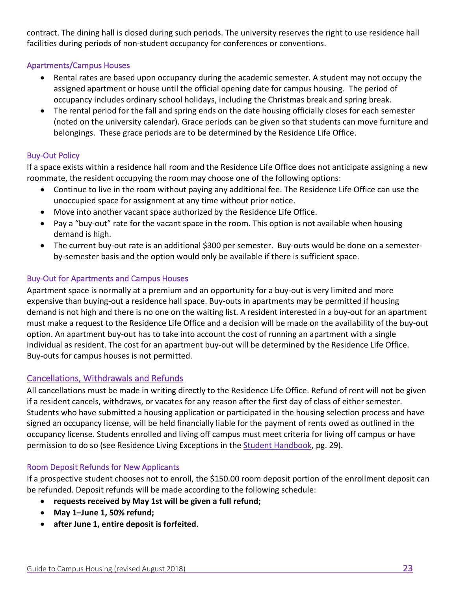contract. The dining hall is closed during such periods. The university reserves the right to use residence hall facilities during periods of non-student occupancy for conferences or conventions.

#### Apartments/Campus Houses

- Rental rates are based upon occupancy during the academic semester. A student may not occupy the assigned apartment or house until the official opening date for campus housing. The period of occupancy includes ordinary school holidays, including the Christmas break and spring break.
- The rental period for the fall and spring ends on the date housing officially closes for each semester (noted on the university calendar). Grace periods can be given so that students can move furniture and belongings. These grace periods are to be determined by the Residence Life Office.

#### Buy-Out Policy

If a space exists within a residence hall room and the Residence Life Office does not anticipate assigning a new roommate, the resident occupying the room may choose one of the following options:

- Continue to live in the room without paying any additional fee. The Residence Life Office can use the unoccupied space for assignment at any time without prior notice.
- Move into another vacant space authorized by the Residence Life Office.
- Pay a "buy-out" rate for the vacant space in the room. This option is not available when housing demand is high.
- The current buy-out rate is an additional \$300 per semester. Buy-outs would be done on a semesterby-semester basis and the option would only be available if there is sufficient space.

#### Buy-Out for Apartments and Campus Houses

Apartment space is normally at a premium and an opportunity for a buy-out is very limited and more expensive than buying-out a residence hall space. Buy-outs in apartments may be permitted if housing demand is not high and there is no one on the waiting list. A resident interested in a buy-out for an apartment must make a request to the Residence Life Office and a decision will be made on the availability of the buy-out option. An apartment buy-out has to take into account the cost of running an apartment with a single individual as resident. The cost for an apartment buy-out will be determined by the Residence Life Office. Buy-outs for campus houses is not permitted.

#### Cancellations, Withdrawals and Refunds

All cancellations must be made in writing directly to the Residence Life Office. Refund of rent will not be given if a resident cancels, withdraws, or vacates for any reason after the first day of class of either semester. Students who have submitted a housing application or participated in the housing selection process and have signed an occupancy license, will be held financially liable for the payment of rents owed as outlined in the occupancy license. Students enrolled and living off campus must meet criteria for living off campus or have permission to do so (see Residence Living Exceptions in the [Student Handbook,](https://go.umhb.edu/students/student-handbook) pg. 29).

#### Room Deposit Refunds for New Applicants

If a prospective student chooses not to enroll, the \$150.00 room deposit portion of the enrollment deposit can be refunded. Deposit refunds will be made according to the following schedule:

- **requests received by May 1st will be given a full refund;**
- **May 1–June 1, 50% refund;**
- **after June 1, entire deposit is forfeited**.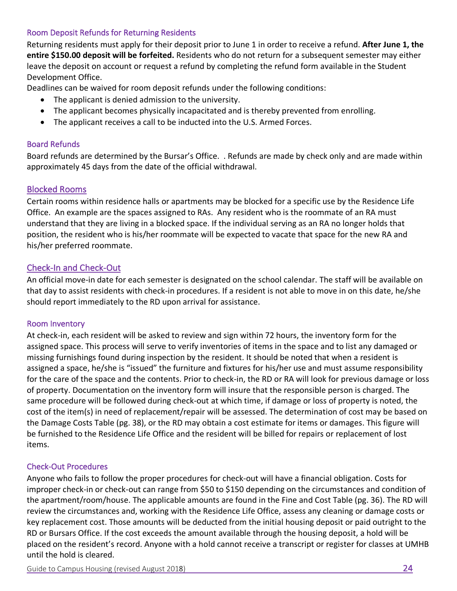#### Room Deposit Refunds for Returning Residents

Returning residents must apply for their deposit prior to June 1 in order to receive a refund. **After June 1, the entire \$150.00 deposit will be forfeited.** Residents who do not return for a subsequent semester may either leave the deposit on account or request a refund by completing the refund form available in the Student Development Office.

Deadlines can be waived for room deposit refunds under the following conditions:

- The applicant is denied admission to the university.
- The applicant becomes physically incapacitated and is thereby prevented from enrolling.
- The applicant receives a call to be inducted into the U.S. Armed Forces.

#### Board Refunds

Board refunds are determined by the Bursar's Office. . Refunds are made by check only and are made within approximately 45 days from the date of the official withdrawal.

#### Blocked Rooms

Certain rooms within residence halls or apartments may be blocked for a specific use by the Residence Life Office. An example are the spaces assigned to RAs. Any resident who is the roommate of an RA must understand that they are living in a blocked space. If the individual serving as an RA no longer holds that position, the resident who is his/her roommate will be expected to vacate that space for the new RA and his/her preferred roommate.

#### Check-In and Check-Out

An official move-in date for each semester is designated on the school calendar. The staff will be available on that day to assist residents with check-in procedures. If a resident is not able to move in on this date, he/she should report immediately to the RD upon arrival for assistance.

#### Room Inventory

At check-in, each resident will be asked to review and sign within 72 hours, the inventory form for the assigned space. This process will serve to verify inventories of items in the space and to list any damaged or missing furnishings found during inspection by the resident. It should be noted that when a resident is assigned a space, he/she is "issued" the furniture and fixtures for his/her use and must assume responsibility for the care of the space and the contents. Prior to check-in, the RD or RA will look for previous damage or loss of property. Documentation on the inventory form will insure that the responsible person is charged. The same procedure will be followed during check-out at which time, if damage or loss of property is noted, the cost of the item(s) in need of replacement/repair will be assessed. The determination of cost may be based on the Damage Costs Table (pg. 38), or the RD may obtain a cost estimate for items or damages. This figure will be furnished to the Residence Life Office and the resident will be billed for repairs or replacement of lost items.

#### Check-Out Procedures

Anyone who fails to follow the proper procedures for check-out will have a financial obligation. Costs for improper check-in or check-out can range from \$50 to \$150 depending on the circumstances and condition of the apartment/room/house. The applicable amounts are found in the Fine and Cost Table (pg. 36). The RD will review the circumstances and, working with the Residence Life Office, assess any cleaning or damage costs or key replacement cost. Those amounts will be deducted from the initial housing deposit or paid outright to the RD or Bursars Office. If the cost exceeds the amount available through the housing deposit, a hold will be placed on the resident's record. Anyone with a hold cannot receive a transcript or register for classes at UMHB until the hold is cleared.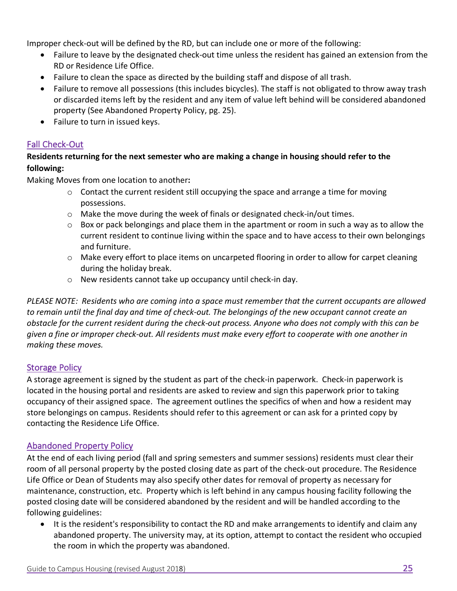Improper check-out will be defined by the RD, but can include one or more of the following:

- Failure to leave by the designated check-out time unless the resident has gained an extension from the RD or Residence Life Office.
- Failure to clean the space as directed by the building staff and dispose of all trash.
- Failure to remove all possessions (this includes bicycles). The staff is not obligated to throw away trash or discarded items left by the resident and any item of value left behind will be considered abandoned property (See Abandoned Property Policy, pg. 25).
- Failure to turn in issued keys.

#### Fall Check-Out

#### **Residents returning for the next semester who are making a change in housing should refer to the following:**

Making Moves from one location to another**:**

- $\circ$  Contact the current resident still occupying the space and arrange a time for moving possessions.
- $\circ$  Make the move during the week of finals or designated check-in/out times.
- $\circ$  Box or pack belongings and place them in the apartment or room in such a way as to allow the current resident to continue living within the space and to have access to their own belongings and furniture.
- $\circ$  Make every effort to place items on uncarpeted flooring in order to allow for carpet cleaning during the holiday break.
- o New residents cannot take up occupancy until check-in day.

*PLEASE NOTE: Residents who are coming into a space must remember that the current occupants are allowed to remain until the final day and time of check-out. The belongings of the new occupant cannot create an obstacle for the current resident during the check-out process. Anyone who does not comply with this can be given a fine or improper check-out. All residents must make every effort to cooperate with one another in making these moves.*

#### Storage Policy

A storage agreement is signed by the student as part of the check-in paperwork. Check-in paperwork is located in the housing portal and residents are asked to review and sign this paperwork prior to taking occupancy of their assigned space. The agreement outlines the specifics of when and how a resident may store belongings on campus. Residents should refer to this agreement or can ask for a printed copy by contacting the Residence Life Office.

#### Abandoned Property Policy

At the end of each living period (fall and spring semesters and summer sessions) residents must clear their room of all personal property by the posted closing date as part of the check-out procedure. The Residence Life Office or Dean of Students may also specify other dates for removal of property as necessary for maintenance, construction, etc. Property which is left behind in any campus housing facility following the posted closing date will be considered abandoned by the resident and will be handled according to the following guidelines:

• It is the resident's responsibility to contact the RD and make arrangements to identify and claim any abandoned property. The university may, at its option, attempt to contact the resident who occupied the room in which the property was abandoned.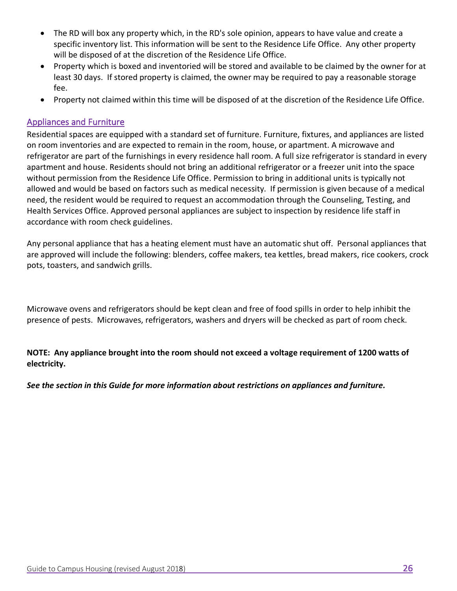- The RD will box any property which, in the RD's sole opinion, appears to have value and create a specific inventory list. This information will be sent to the Residence Life Office. Any other property will be disposed of at the discretion of the Residence Life Office.
- Property which is boxed and inventoried will be stored and available to be claimed by the owner for at least 30 days. If stored property is claimed, the owner may be required to pay a reasonable storage fee.
- Property not claimed within this time will be disposed of at the discretion of the Residence Life Office.

#### Appliances and Furniture

Residential spaces are equipped with a standard set of furniture. Furniture, fixtures, and appliances are listed on room inventories and are expected to remain in the room, house, or apartment. A microwave and refrigerator are part of the furnishings in every residence hall room. A full size refrigerator is standard in every apartment and house. Residents should not bring an additional refrigerator or a freezer unit into the space without permission from the Residence Life Office. Permission to bring in additional units is typically not allowed and would be based on factors such as medical necessity. If permission is given because of a medical need, the resident would be required to request an accommodation through the Counseling, Testing, and Health Services Office. Approved personal appliances are subject to inspection by residence life staff in accordance with room check guidelines.

Any personal appliance that has a heating element must have an automatic shut off. Personal appliances that are approved will include the following: blenders, coffee makers, tea kettles, bread makers, rice cookers, crock pots, toasters, and sandwich grills.

Microwave ovens and refrigerators should be kept clean and free of food spills in order to help inhibit the presence of pests. Microwaves, refrigerators, washers and dryers will be checked as part of room check.

**NOTE: Any appliance brought into the room should not exceed a voltage requirement of 1200 watts of electricity.** 

*See the section in this Guide for more information about restrictions on appliances and furniture.*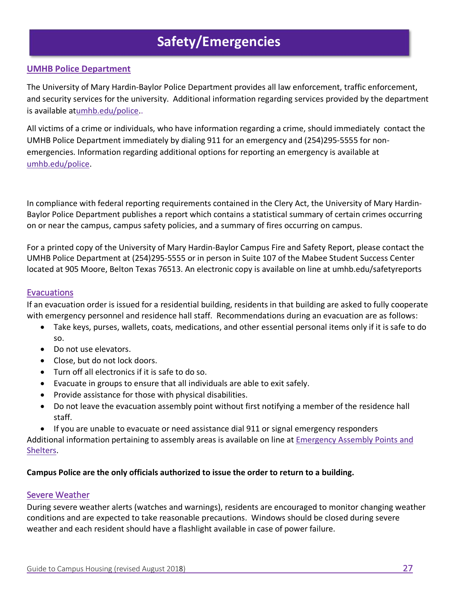## **Safety/Emergencies**

#### **UMHB Police Department**

The University of Mary Hardin-Baylor Police Department provides all law enforcement, traffic enforcement, and security services for the university. Additional information regarding services provided by the department is available at[umhb.edu/police.](http://umhb.edu/police).

All victims of a crime or individuals, who have information regarding a crime, should immediately contact the UMHB Police Department immediately by dialing 911 for an emergency and (254)295-5555 for nonemergencies. Information regarding additional options for reporting an emergency is available at [umhb.edu/police.](http://umhb.edu/police)

In compliance with federal reporting requirements contained in the Clery Act, the University of Mary Hardin-Baylor Police Department publishes a report which contains a statistical summary of certain crimes occurring on or near the campus, campus safety policies, and a summary of fires occurring on campus.

For a printed copy of the University of Mary Hardin-Baylor Campus Fire and Safety Report, please contact the UMHB Police Department at (254)295-5555 or in person in Suite 107 of the Mabee Student Success Center located at 905 Moore, Belton Texas 76513. An electronic copy is available on line at umhb.edu/safetyreports

#### Evacuations

If an evacuation order is issued for a residential building, residents in that building are asked to fully cooperate with emergency personnel and residence hall staff. Recommendations during an evacuation are as follows:

- Take keys, purses, wallets, coats, medications, and other essential personal items only if it is safe to do so.
- Do not use elevators.
- Close, but do not lock doors.
- Turn off all electronics if it is safe to do so.
- Evacuate in groups to ensure that all individuals are able to exit safely.
- Provide assistance for those with physical disabilities.
- Do not leave the evacuation assembly point without first notifying a member of the residence hall staff.
- If you are unable to evacuate or need assistance dial 911 or signal emergency responders

Additional information pertaining to assembly areas is available on line at [Emergency Assembly Points and](https://go.umhb.edu/resources/safety/eap)  [Shelters.](https://go.umhb.edu/resources/safety/eap) 

#### **Campus Police are the only officials authorized to issue the order to return to a building.**

#### Severe Weather

During severe weather alerts (watches and warnings), residents are encouraged to monitor changing weather conditions and are expected to take reasonable precautions. Windows should be closed during severe weather and each resident should have a flashlight available in case of power failure.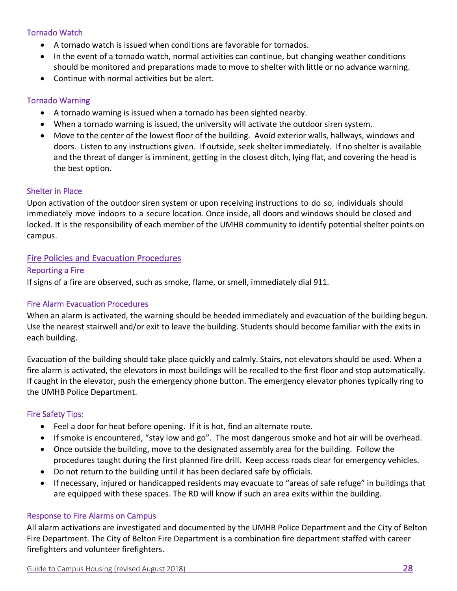#### Tornado Watch

- A tornado watch is issued when conditions are favorable for tornados.
- In the event of a tornado watch, normal activities can continue, but changing weather conditions should be monitored and preparations made to move to shelter with little or no advance warning.
- Continue with normal activities but be alert.

#### Tornado Warning

- A tornado warning is issued when a tornado has been sighted nearby.
- When a tornado warning is issued, the university will activate the outdoor siren system.
- Move to the center of the lowest floor of the building. Avoid exterior walls, hallways, windows and doors. Listen to any instructions given. If outside, seek shelter immediately. If no shelter is available and the threat of danger is imminent, getting in the closest ditch, lying flat, and covering the head is the best option.

#### Shelter in Place

Upon activation of the outdoor siren system or upon receiving instructions to do so, individuals should immediately move indoors to a secure location. Once inside, all doors and windows should be closed and locked. It is the responsibility of each member of the UMHB community to identify potential shelter points on campus.

#### Fire Policies and Evacuation Procedures

#### Reporting a Fire

If signs of a fire are observed, such as smoke, flame, or smell, immediately dial 911.

#### Fire Alarm Evacuation Procedures

When an alarm is activated, the warning should be heeded immediately and evacuation of the building begun. Use the nearest stairwell and/or exit to leave the building. Students should become familiar with the exits in each building.

Evacuation of the building should take place quickly and calmly. Stairs, not elevators should be used. When a fire alarm is activated, the elevators in most buildings will be recalled to the first floor and stop automatically. If caught in the elevator, push the emergency phone button. The emergency elevator phones typically ring to the UMHB Police Department.

#### Fire Safety Tips:

- Feel a door for heat before opening. If it is hot, find an alternate route.
- If smoke is encountered, "stay low and go". The most dangerous smoke and hot air will be overhead.
- Once outside the building, move to the designated assembly area for the building. Follow the procedures taught during the first planned fire drill. Keep access roads clear for emergency vehicles.
- Do not return to the building until it has been declared safe by officials.
- If necessary, injured or handicapped residents may evacuate to "areas of safe refuge" in buildings that are equipped with these spaces. The RD will know if such an area exits within the building.

#### Response to Fire Alarms on Campus

All alarm activations are investigated and documented by the UMHB Police Department and the City of Belton Fire Department. The City of Belton Fire Department is a combination fire department staffed with career firefighters and volunteer firefighters.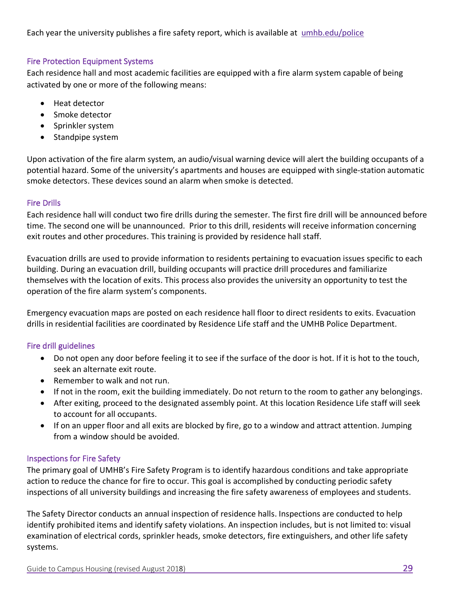Each year the university publishes a fire safety report, which is available at [umhb.edu/police](http://umhb.edu/police)

#### Fire Protection Equipment Systems

Each residence hall and most academic facilities are equipped with a fire alarm system capable of being activated by one or more of the following means:

- Heat detector
- Smoke detector
- Sprinkler system
- Standpipe system

Upon activation of the fire alarm system, an audio/visual warning device will alert the building occupants of a potential hazard. Some of the university's apartments and houses are equipped with single-station automatic smoke detectors. These devices sound an alarm when smoke is detected.

#### Fire Drills

Each residence hall will conduct two fire drills during the semester. The first fire drill will be announced before time. The second one will be unannounced. Prior to this drill, residents will receive information concerning exit routes and other procedures. This training is provided by residence hall staff.

Evacuation drills are used to provide information to residents pertaining to evacuation issues specific to each building. During an evacuation drill, building occupants will practice drill procedures and familiarize themselves with the location of exits. This process also provides the university an opportunity to test the operation of the fire alarm system's components.

Emergency evacuation maps are posted on each residence hall floor to direct residents to exits. Evacuation drills in residential facilities are coordinated by Residence Life staff and the UMHB Police Department.

#### Fire drill guidelines

- Do not open any door before feeling it to see if the surface of the door is hot. If it is hot to the touch, seek an alternate exit route.
- Remember to walk and not run.
- If not in the room, exit the building immediately. Do not return to the room to gather any belongings.
- After exiting, proceed to the designated assembly point. At this location Residence Life staff will seek to account for all occupants.
- If on an upper floor and all exits are blocked by fire, go to a window and attract attention. Jumping from a window should be avoided.

#### Inspections for Fire Safety

The primary goal of UMHB's Fire Safety Program is to identify hazardous conditions and take appropriate action to reduce the chance for fire to occur. This goal is accomplished by conducting periodic safety inspections of all university buildings and increasing the fire safety awareness of employees and students.

The Safety Director conducts an annual inspection of residence halls. Inspections are conducted to help identify prohibited items and identify safety violations. An inspection includes, but is not limited to: visual examination of electrical cords, sprinkler heads, smoke detectors, fire extinguishers, and other life safety systems.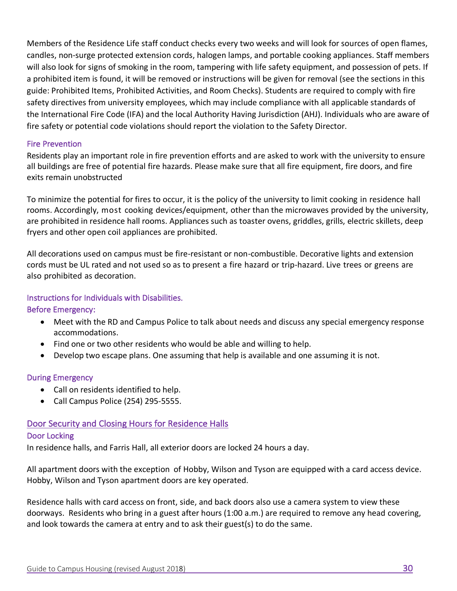Members of the Residence Life staff conduct checks every two weeks and will look for sources of open flames, candles, non-surge protected extension cords, halogen lamps, and portable cooking appliances. Staff members will also look for signs of smoking in the room, tampering with life safety equipment, and possession of pets. If a prohibited item is found, it will be removed or instructions will be given for removal (see the sections in this guide: Prohibited Items, Prohibited Activities, and Room Checks). Students are required to comply with fire safety directives from university employees, which may include compliance with all applicable standards of the International Fire Code (IFA) and the local Authority Having Jurisdiction (AHJ). Individuals who are aware of fire safety or potential code violations should report the violation to the Safety Director.

#### Fire Prevention

Residents play an important role in fire prevention efforts and are asked to work with the university to ensure all buildings are free of potential fire hazards. Please make sure that all fire equipment, fire doors, and fire exits remain unobstructed

To minimize the potential for fires to occur, it is the policy of the university to limit cooking in residence hall rooms. Accordingly, most cooking devices/equipment, other than the microwaves provided by the university, are prohibited in residence hall rooms. Appliances such as toaster ovens, griddles, grills, electric skillets, deep fryers and other open coil appliances are prohibited.

All decorations used on campus must be fire-resistant or non-combustible. Decorative lights and extension cords must be UL rated and not used so as to present a fire hazard or trip-hazard. Live trees or greens are also prohibited as decoration.

#### Instructions for Individuals with Disabilities.

#### Before Emergency:

- Meet with the RD and Campus Police to talk about needs and discuss any special emergency response accommodations.
- Find one or two other residents who would be able and willing to help.
- Develop two escape plans. One assuming that help is available and one assuming it is not.

#### During Emergency

- Call on residents identified to help.
- Call Campus Police (254) 295-5555.

#### Door Security and Closing Hours for Residence Halls

#### Door Locking

In residence halls, and Farris Hall, all exterior doors are locked 24 hours a day.

All apartment doors with the exception of Hobby, Wilson and Tyson are equipped with a card access device. Hobby, Wilson and Tyson apartment doors are key operated.

Residence halls with card access on front, side, and back doors also use a camera system to view these doorways. Residents who bring in a guest after hours (1:00 a.m.) are required to remove any head covering, and look towards the camera at entry and to ask their guest(s) to do the same.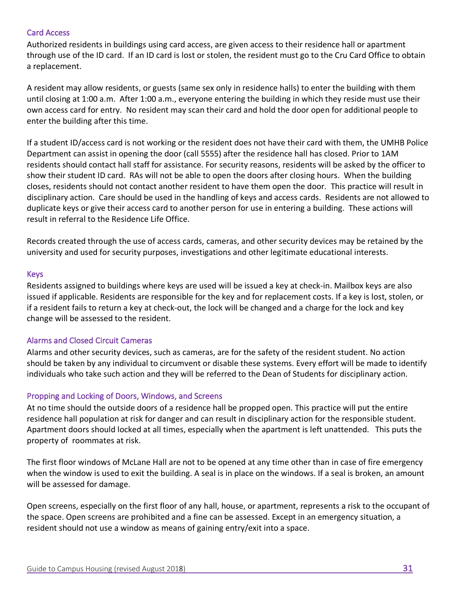#### Card Access

Authorized residents in buildings using card access, are given access to their residence hall or apartment through use of the ID card. If an ID card is lost or stolen, the resident must go to the Cru Card Office to obtain a replacement.

A resident may allow residents, or guests (same sex only in residence halls) to enter the building with them until closing at 1:00 a.m. After 1:00 a.m., everyone entering the building in which they reside must use their own access card for entry. No resident may scan their card and hold the door open for additional people to enter the building after this time.

If a student ID/access card is not working or the resident does not have their card with them, the UMHB Police Department can assist in opening the door (call 5555) after the residence hall has closed. Prior to 1AM residents should contact hall staff for assistance. For security reasons, residents will be asked by the officer to show their student ID card. RAs will not be able to open the doors after closing hours. When the building closes, residents should not contact another resident to have them open the door. This practice will result in disciplinary action. Care should be used in the handling of keys and access cards. Residents are not allowed to duplicate keys or give their access card to another person for use in entering a building. These actions will result in referral to the Residence Life Office.

Records created through the use of access cards, cameras, and other security devices may be retained by the university and used for security purposes, investigations and other legitimate educational interests.

#### Keys

Residents assigned to buildings where keys are used will be issued a key at check-in. Mailbox keys are also issued if applicable. Residents are responsible for the key and for replacement costs. If a key is lost, stolen, or if a resident fails to return a key at check-out, the lock will be changed and a charge for the lock and key change will be assessed to the resident.

#### Alarms and Closed Circuit Cameras

Alarms and other security devices, such as cameras, are for the safety of the resident student. No action should be taken by any individual to circumvent or disable these systems. Every effort will be made to identify individuals who take such action and they will be referred to the Dean of Students for disciplinary action.

#### Propping and Locking of Doors, Windows, and Screens

At no time should the outside doors of a residence hall be propped open. This practice will put the entire residence hall population at risk for danger and can result in disciplinary action for the responsible student. Apartment doors should locked at all times, especially when the apartment is left unattended. This puts the property of roommates at risk.

The first floor windows of McLane Hall are not to be opened at any time other than in case of fire emergency when the window is used to exit the building. A seal is in place on the windows. If a seal is broken, an amount will be assessed for damage.

Open screens, especially on the first floor of any hall, house, or apartment, represents a risk to the occupant of the space. Open screens are prohibited and a fine can be assessed. Except in an emergency situation, a resident should not use a window as means of gaining entry/exit into a space.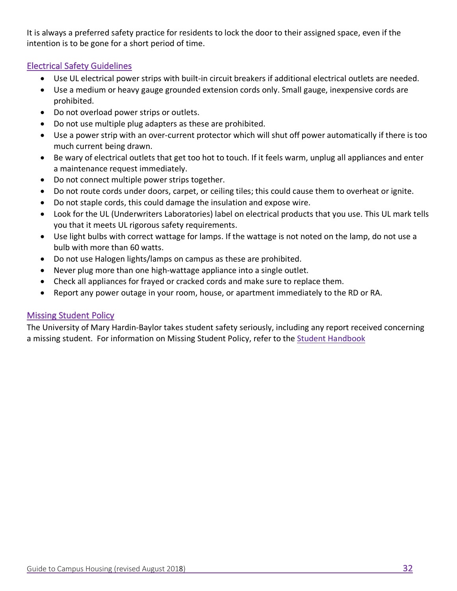It is always a preferred safety practice for residents to lock the door to their assigned space, even if the intention is to be gone for a short period of time.

#### Electrical Safety Guidelines

- Use UL electrical power strips with built-in circuit breakers if additional electrical outlets are needed.
- Use a medium or heavy gauge grounded extension cords only. Small gauge, inexpensive cords are prohibited.
- Do not overload power strips or outlets.
- Do not use multiple plug adapters as these are prohibited.
- Use a power strip with an over-current protector which will shut off power automatically if there is too much current being drawn.
- Be wary of electrical outlets that get too hot to touch. If it feels warm, unplug all appliances and enter a maintenance request immediately.
- Do not connect multiple power strips together.
- Do not route cords under doors, carpet, or ceiling tiles; this could cause them to overheat or ignite.
- Do not staple cords, this could damage the insulation and expose wire.
- Look for the UL (Underwriters Laboratories) label on electrical products that you use. This UL mark tells you that it meets UL rigorous safety requirements.
- Use light bulbs with correct wattage for lamps. If the wattage is not noted on the lamp, do not use a bulb with more than 60 watts.
- Do not use Halogen lights/lamps on campus as these are prohibited.
- Never plug more than one high-wattage appliance into a single outlet.
- Check all appliances for frayed or cracked cords and make sure to replace them.
- Report any power outage in your room, house, or apartment immediately to the RD or RA.

#### Missing Student Policy

The University of Mary Hardin-Baylor takes student safety seriously, including any report received concerning a missing student. For information on Missing Student Policy, refer to the [Student Handbook](https://go.umhb.edu/students/student-handbook)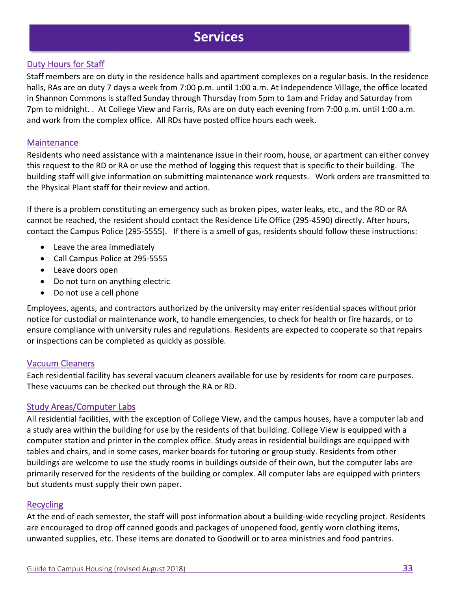### **Services**

#### Duty Hours for Staff

Staff members are on duty in the residence halls and apartment complexes on a regular basis. In the residence halls, RAs are on duty 7 days a week from 7:00 p.m. until 1:00 a.m. At Independence Village, the office located in Shannon Commons is staffed Sunday through Thursday from 5pm to 1am and Friday and Saturday from 7pm to midnight. . At College View and Farris, RAs are on duty each evening from 7:00 p.m. until 1:00 a.m. and work from the complex office. All RDs have posted office hours each week.

#### **Maintenance**

Residents who need assistance with a maintenance issue in their room, house, or apartment can either convey this request to the RD or RA or use the method of logging this request that is specific to their building. The building staff will give information on submitting maintenance work requests. Work orders are transmitted to the Physical Plant staff for their review and action.

If there is a problem constituting an emergency such as broken pipes, water leaks, etc., and the RD or RA cannot be reached, the resident should contact the Residence Life Office (295-4590) directly. After hours, contact the Campus Police (295-5555). If there is a smell of gas, residents should follow these instructions:

- Leave the area immediately
- Call Campus Police at 295-5555
- Leave doors open
- Do not turn on anything electric
- Do not use a cell phone

Employees, agents, and contractors authorized by the university may enter residential spaces without prior notice for custodial or maintenance work, to handle emergencies, to check for health or fire hazards, or to ensure compliance with university rules and regulations. Residents are expected to cooperate so that repairs or inspections can be completed as quickly as possible.

#### Vacuum Cleaners

Each residential facility has several vacuum cleaners available for use by residents for room care purposes. These vacuums can be checked out through the RA or RD.

#### Study Areas/Computer Labs

All residential facilities, with the exception of College View, and the campus houses, have a computer lab and a study area within the building for use by the residents of that building. College View is equipped with a computer station and printer in the complex office. Study areas in residential buildings are equipped with tables and chairs, and in some cases, marker boards for tutoring or group study. Residents from other buildings are welcome to use the study rooms in buildings outside of their own, but the computer labs are primarily reserved for the residents of the building or complex. All computer labs are equipped with printers but students must supply their own paper.

#### **Recycling**

At the end of each semester, the staff will post information about a building-wide recycling project. Residents are encouraged to drop off canned goods and packages of unopened food, gently worn clothing items, unwanted supplies, etc. These items are donated to Goodwill or to area ministries and food pantries.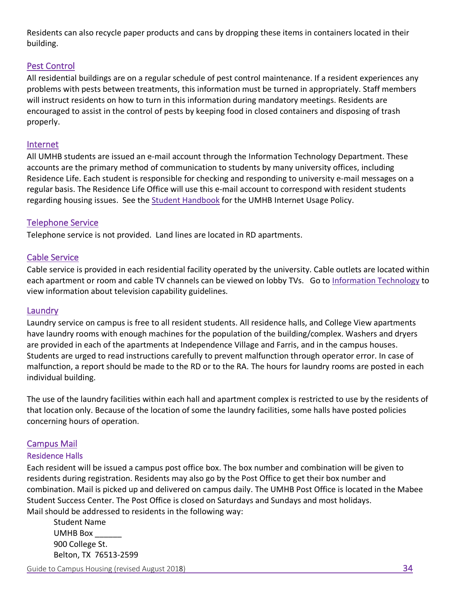Residents can also recycle paper products and cans by dropping these items in containers located in their building.

#### Pest Control

All residential buildings are on a regular schedule of pest control maintenance. If a resident experiences any problems with pests between treatments, this information must be turned in appropriately. Staff members will instruct residents on how to turn in this information during mandatory meetings. Residents are encouraged to assist in the control of pests by keeping food in closed containers and disposing of trash properly.

#### Internet

All UMHB students are issued an e-mail account through the Information Technology Department. These accounts are the primary method of communication to students by many university offices, including Residence Life. Each student is responsible for checking and responding to university e-mail messages on a regular basis. The Residence Life Office will use this e-mail account to correspond with resident students regarding housing issues. See the [Student Handbook](https://go.umhb.edu/students/student-handbook) for the UMHB Internet Usage Policy.

#### Telephone Service

Telephone service is not provided. Land lines are located in RD apartments.

#### Cable Service

Cable service is provided in each residential facility operated by the university. Cable outlets are located within each apartment or room and cable TV channels can be viewed on lobby TVs. Go to [Information Technology](https://go.umhb.edu/resources/infotech/home) to view information about television capability guidelines.

#### Laundry

Laundry service on campus is free to all resident students. All residence halls, and College View apartments have laundry rooms with enough machines for the population of the building/complex. Washers and dryers are provided in each of the apartments at Independence Village and Farris, and in the campus houses. Students are urged to read instructions carefully to prevent malfunction through operator error. In case of malfunction, a report should be made to the RD or to the RA. The hours for laundry rooms are posted in each individual building.

The use of the laundry facilities within each hall and apartment complex is restricted to use by the residents of that location only. Because of the location of some the laundry facilities, some halls have posted policies concerning hours of operation.

#### Campus Mail

#### Residence Halls

Each resident will be issued a campus post office box. The box number and combination will be given to residents during registration. Residents may also go by the Post Office to get their box number and combination. Mail is picked up and delivered on campus daily. The UMHB Post Office is located in the Mabee Student Success Center. The Post Office is closed on Saturdays and Sundays and most holidays. Mail should be addressed to residents in the following way:

Student Name UMHB Box \_\_\_\_\_\_ 900 College St. Belton, TX 76513-2599

Guide to Campus Housing (revised August 2018) 34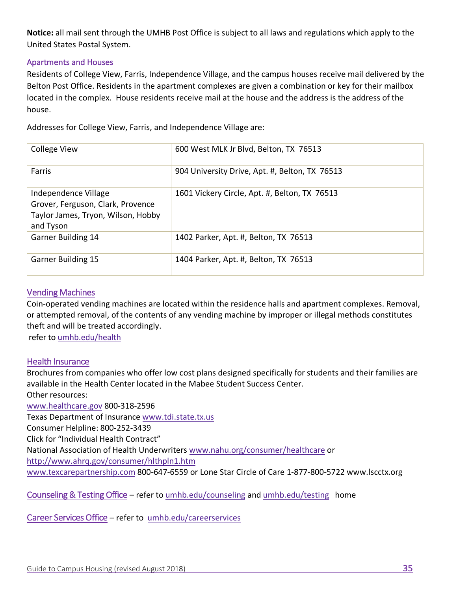**Notice:** all mail sent through the UMHB Post Office is subject to all laws and regulations which apply to the United States Postal System.

#### Apartments and Houses

Residents of College View, Farris, Independence Village, and the campus houses receive mail delivered by the Belton Post Office. Residents in the apartment complexes are given a combination or key for their mailbox located in the complex. House residents receive mail at the house and the address is the address of the house.

Addresses for College View, Farris, and Independence Village are:

| <b>College View</b>                                                                                          | 600 West MLK Jr Blvd, Belton, TX 76513         |
|--------------------------------------------------------------------------------------------------------------|------------------------------------------------|
| Farris                                                                                                       | 904 University Drive, Apt. #, Belton, TX 76513 |
| Independence Village<br>Grover, Ferguson, Clark, Provence<br>Taylor James, Tryon, Wilson, Hobby<br>and Tyson | 1601 Vickery Circle, Apt. #, Belton, TX 76513  |
| <b>Garner Building 14</b>                                                                                    | 1402 Parker, Apt. #, Belton, TX 76513          |
| <b>Garner Building 15</b>                                                                                    | 1404 Parker, Apt. #, Belton, TX 76513          |

#### Vending Machines

Coin-operated vending machines are located within the residence halls and apartment complexes. Removal, or attempted removal, of the contents of any vending machine by improper or illegal methods constitutes theft and will be treated accordingly.

refer to [umhb.edu/health](https://go.umhb.edu/resources/health/home)

#### Health Insurance

Brochures from companies who offer low cost plans designed specifically for students and their families are available in the Health Center located in the Mabee Student Success Center. Other resources: [www.healthcare.gov 800](http://www.healthcare.gov)-318-2596 Texas Department of Insurance [www.tdi.state.tx.us](http://www.tdi.state.tx.us) Consumer Helpline: 800-252-3439 Click for "Individual Health Contract" National Association of Health Underwriters [www.nahu.org/consumer/healthcare](http://www.nahu.org/consumer/healthcare) or

<http://www.ahrq.gov/consumer/hlthpln1.htm>

[www.texcarepartnership.com](http://www.texcarepartnership.com) 800-647-6559 or Lone Star Circle of Care 1-877-800-5722 [www.lscctx.org](http://www.lscctx.org)

Counseling & Testing Office – refer to [umhb.edu/counseling](https://go.umhb.edu/resources/counseling/home) and [umhb.edu/testing](https://go.umhb.edu/resources/testing/home) home

Career Services Office – refer to [umhb.edu/careerservices](https://go.umhb.edu/resources/career-services/home)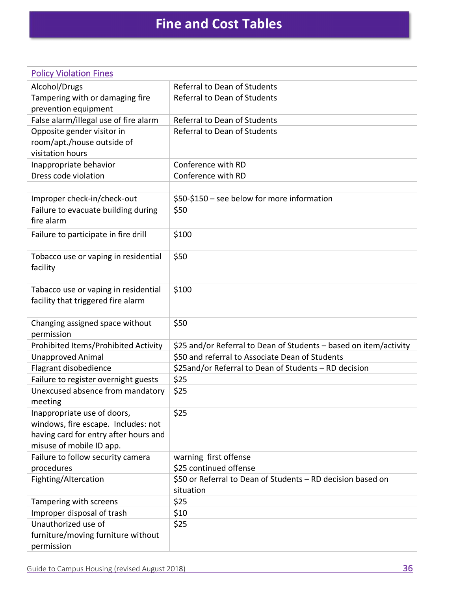| <b>Policy Violation Fines</b>                                                                                                           |                                                                          |
|-----------------------------------------------------------------------------------------------------------------------------------------|--------------------------------------------------------------------------|
| Alcohol/Drugs                                                                                                                           | Referral to Dean of Students                                             |
| Tampering with or damaging fire                                                                                                         | Referral to Dean of Students                                             |
| prevention equipment                                                                                                                    |                                                                          |
| False alarm/illegal use of fire alarm                                                                                                   | <b>Referral to Dean of Students</b>                                      |
| Opposite gender visitor in                                                                                                              | Referral to Dean of Students                                             |
| room/apt./house outside of                                                                                                              |                                                                          |
| visitation hours                                                                                                                        |                                                                          |
| Inappropriate behavior                                                                                                                  | Conference with RD                                                       |
| Dress code violation                                                                                                                    | Conference with RD                                                       |
|                                                                                                                                         |                                                                          |
| Improper check-in/check-out                                                                                                             | \$50-\$150 - see below for more information                              |
| Failure to evacuate building during<br>fire alarm                                                                                       | \$50                                                                     |
| Failure to participate in fire drill                                                                                                    | \$100                                                                    |
| Tobacco use or vaping in residential<br>facility                                                                                        | \$50                                                                     |
| Tabacco use or vaping in residential<br>facility that triggered fire alarm                                                              | \$100                                                                    |
|                                                                                                                                         |                                                                          |
| Changing assigned space without<br>permission                                                                                           | \$50                                                                     |
| Prohibited Items/Prohibited Activity                                                                                                    | \$25 and/or Referral to Dean of Students – based on item/activity        |
| <b>Unapproved Animal</b>                                                                                                                | \$50 and referral to Associate Dean of Students                          |
| Flagrant disobedience                                                                                                                   | \$25and/or Referral to Dean of Students - RD decision                    |
| Failure to register overnight guests                                                                                                    | \$25                                                                     |
| Unexcused absence from mandatory<br>meeting                                                                                             | \$25                                                                     |
| Inappropriate use of doors,<br>windows, fire escape. Includes: not<br>having card for entry after hours and<br>misuse of mobile ID app. | \$25                                                                     |
| Failure to follow security camera                                                                                                       | warning first offense                                                    |
| procedures                                                                                                                              | \$25 continued offense                                                   |
| Fighting/Altercation                                                                                                                    | \$50 or Referral to Dean of Students - RD decision based on<br>situation |
| Tampering with screens                                                                                                                  | \$25                                                                     |
| Improper disposal of trash                                                                                                              | \$10                                                                     |
| Unauthorized use of<br>furniture/moving furniture without<br>permission                                                                 | \$25                                                                     |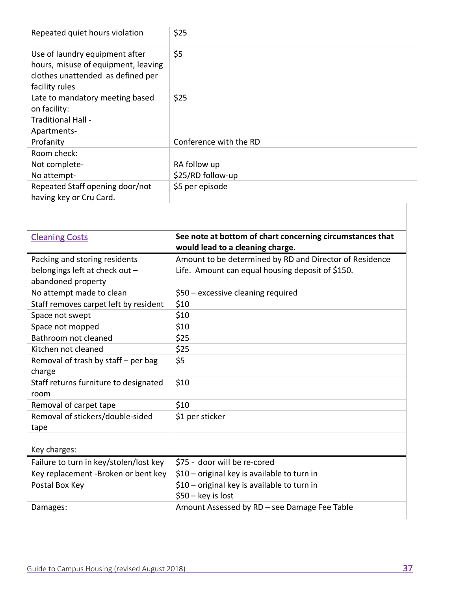| Repeated quiet hours violation                                                                                               | \$25                                                                                          |
|------------------------------------------------------------------------------------------------------------------------------|-----------------------------------------------------------------------------------------------|
| Use of laundry equipment after<br>hours, misuse of equipment, leaving<br>clothes unattended as defined per<br>facility rules | \$5                                                                                           |
| Late to mandatory meeting based<br>on facility:<br>Traditional Hall -<br>Apartments-                                         | \$25                                                                                          |
| Profanity                                                                                                                    | Conference with the RD                                                                        |
| Room check:                                                                                                                  |                                                                                               |
| Not complete-                                                                                                                | RA follow up                                                                                  |
| No attempt-                                                                                                                  | \$25/RD follow-up                                                                             |
| Repeated Staff opening door/not                                                                                              | \$5 per episode                                                                               |
| having key or Cru Card.                                                                                                      |                                                                                               |
|                                                                                                                              |                                                                                               |
|                                                                                                                              |                                                                                               |
| <b>Cleaning Costs</b>                                                                                                        | See note at bottom of chart concerning circumstances that<br>would lead to a cleaning charge. |
| Packing and storing residents                                                                                                | Amount to be determined by RD and Director of Residence                                       |
| belongings left at check out -                                                                                               | Life. Amount can equal housing deposit of \$150.                                              |
| abandoned property                                                                                                           |                                                                                               |
|                                                                                                                              |                                                                                               |
| No attempt made to clean                                                                                                     | \$50 - excessive cleaning required                                                            |
| Staff removes carpet left by resident                                                                                        | \$10                                                                                          |
| Space not swept                                                                                                              | \$10                                                                                          |
| Space not mopped                                                                                                             | \$10                                                                                          |
| Bathroom not cleaned                                                                                                         | \$25                                                                                          |
| Kitchen not cleaned                                                                                                          | \$25                                                                                          |
| Removal of trash by staff - per bag                                                                                          | \$5                                                                                           |
| charge                                                                                                                       |                                                                                               |
| Staff returns furniture to designated                                                                                        | \$10                                                                                          |
| room                                                                                                                         |                                                                                               |
| Removal of carpet tape                                                                                                       | \$10                                                                                          |
| Removal of stickers/double-sided                                                                                             | \$1 per sticker                                                                               |
| tape                                                                                                                         |                                                                                               |
| Key charges:                                                                                                                 |                                                                                               |
| Failure to turn in key/stolen/lost key                                                                                       | \$75 - door will be re-cored                                                                  |
| Key replacement -Broken or bent key                                                                                          | \$10 - original key is available to turn in                                                   |
| Postal Box Key                                                                                                               | \$10 - original key is available to turn in                                                   |
|                                                                                                                              | $$50 - key$ is lost                                                                           |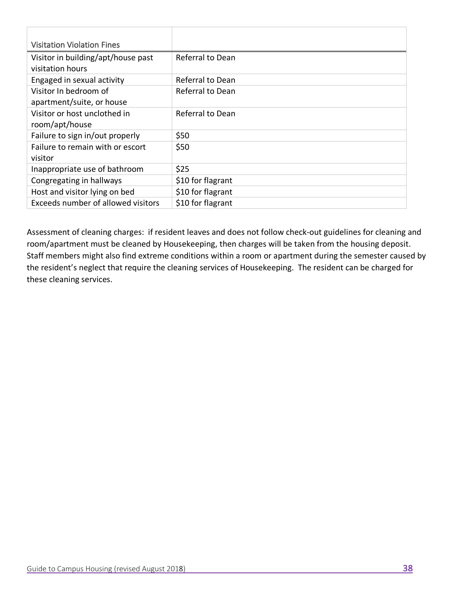| <b>Visitation Violation Fines</b>  |                   |
|------------------------------------|-------------------|
| Visitor in building/apt/house past | Referral to Dean  |
| visitation hours                   |                   |
| Engaged in sexual activity         | Referral to Dean  |
| Visitor In bedroom of              | Referral to Dean  |
| apartment/suite, or house          |                   |
| Visitor or host unclothed in       | Referral to Dean  |
| room/apt/house                     |                   |
| Failure to sign in/out properly    | \$50              |
| Failure to remain with or escort   | \$50              |
| visitor                            |                   |
| Inappropriate use of bathroom      | \$25              |
| Congregating in hallways           | \$10 for flagrant |
| Host and visitor lying on bed      | \$10 for flagrant |
| Exceeds number of allowed visitors | \$10 for flagrant |

Assessment of cleaning charges: if resident leaves and does not follow check-out guidelines for cleaning and room/apartment must be cleaned by Housekeeping, then charges will be taken from the housing deposit. Staff members might also find extreme conditions within a room or apartment during the semester caused by the resident's neglect that require the cleaning services of Housekeeping. The resident can be charged for these cleaning services.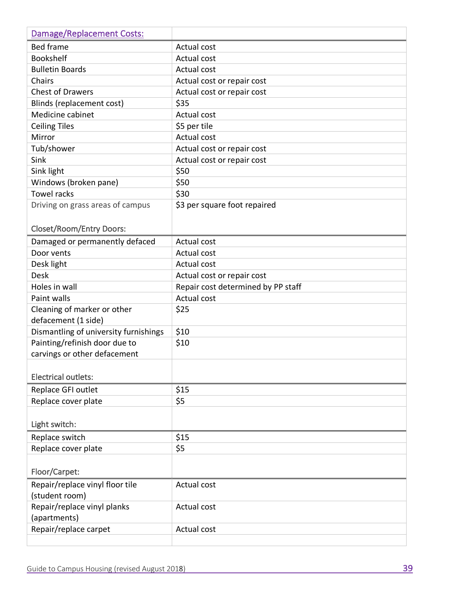| <b>Damage/Replacement Costs:</b>      |                                    |
|---------------------------------------|------------------------------------|
| <b>Bed frame</b>                      | Actual cost                        |
| <b>Bookshelf</b>                      | Actual cost                        |
| <b>Bulletin Boards</b>                | Actual cost                        |
| Chairs                                | Actual cost or repair cost         |
| <b>Chest of Drawers</b>               | Actual cost or repair cost         |
| Blinds (replacement cost)             | \$35                               |
| Medicine cabinet                      | Actual cost                        |
| <b>Ceiling Tiles</b>                  | \$5 per tile                       |
| Mirror                                | Actual cost                        |
| Tub/shower                            | Actual cost or repair cost         |
| Sink                                  | Actual cost or repair cost         |
| Sink light                            | \$50                               |
| Windows (broken pane)                 | \$50                               |
| <b>Towel racks</b>                    | \$30                               |
| Driving on grass areas of campus      | \$3 per square foot repaired       |
|                                       |                                    |
| <b>Closet/Room/Entry Doors:</b>       |                                    |
| Damaged or permanently defaced        | Actual cost                        |
| Door vents                            | Actual cost                        |
| Desk light                            | Actual cost                        |
| <b>Desk</b>                           | Actual cost or repair cost         |
| Holes in wall                         | Repair cost determined by PP staff |
| Paint walls                           | <b>Actual cost</b>                 |
| Cleaning of marker or other           | \$25                               |
| defacement (1 side)                   |                                    |
| Dismantling of university furnishings | \$10                               |
| Painting/refinish door due to         | \$10                               |
| carvings or other defacement          |                                    |
|                                       |                                    |
| <b>Electrical outlets:</b>            |                                    |
| Replace GFI outlet                    | \$15                               |
| Replace cover plate                   | \$5                                |
| Light switch:                         |                                    |
|                                       |                                    |
| Replace switch                        | \$15                               |
| Replace cover plate                   | \$5                                |
|                                       |                                    |
| Floor/Carpet:                         |                                    |
| Repair/replace vinyl floor tile       | Actual cost                        |
| (student room)                        |                                    |
| Repair/replace vinyl planks           | Actual cost                        |
| (apartments)                          |                                    |
| Repair/replace carpet                 | Actual cost                        |